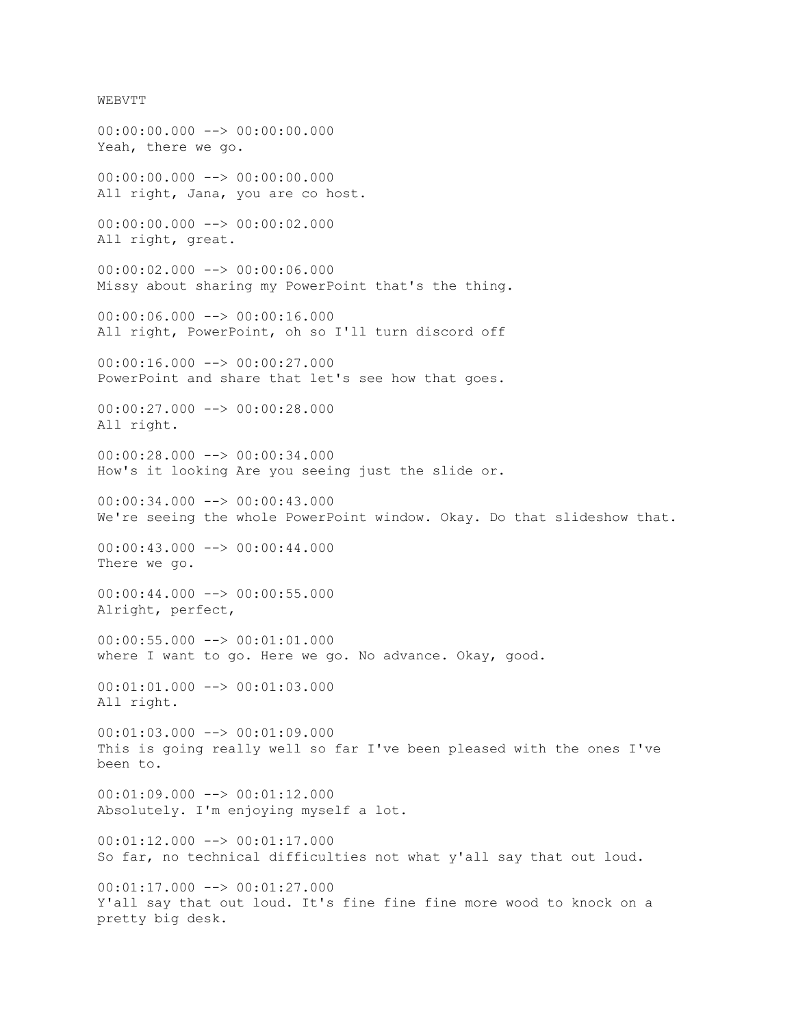WEBVTT  $00:00:00.000$  -->  $00:00:00.000$ Yeah, there we go.  $00:00:00.000$  -->  $00:00:00.000$ All right, Jana, you are co host. 00:00:00.000 --> 00:00:02.000 All right, great. 00:00:02.000 --> 00:00:06.000 Missy about sharing my PowerPoint that's the thing. 00:00:06.000 --> 00:00:16.000 All right, PowerPoint, oh so I'll turn discord off 00:00:16.000 --> 00:00:27.000 PowerPoint and share that let's see how that goes. 00:00:27.000 --> 00:00:28.000 All right. 00:00:28.000 --> 00:00:34.000 How's it looking Are you seeing just the slide or. 00:00:34.000 --> 00:00:43.000 We're seeing the whole PowerPoint window. Okay. Do that slideshow that. 00:00:43.000 --> 00:00:44.000 There we go.  $00:00:44.000$  -->  $00:00:55.000$ Alright, perfect,  $00:00:55.000$  -->  $00:01:01.000$ where I want to go. Here we go. No advance. Okay, good. 00:01:01.000 --> 00:01:03.000 All right. 00:01:03.000 --> 00:01:09.000 This is going really well so far I've been pleased with the ones I've been to.  $00:01:09.000$  -->  $00:01:12.000$ Absolutely. I'm enjoying myself a lot. 00:01:12.000 --> 00:01:17.000 So far, no technical difficulties not what y'all say that out loud.  $00:01:17.000$  -->  $00:01:27.000$ Y'all say that out loud. It's fine fine fine more wood to knock on a pretty big desk.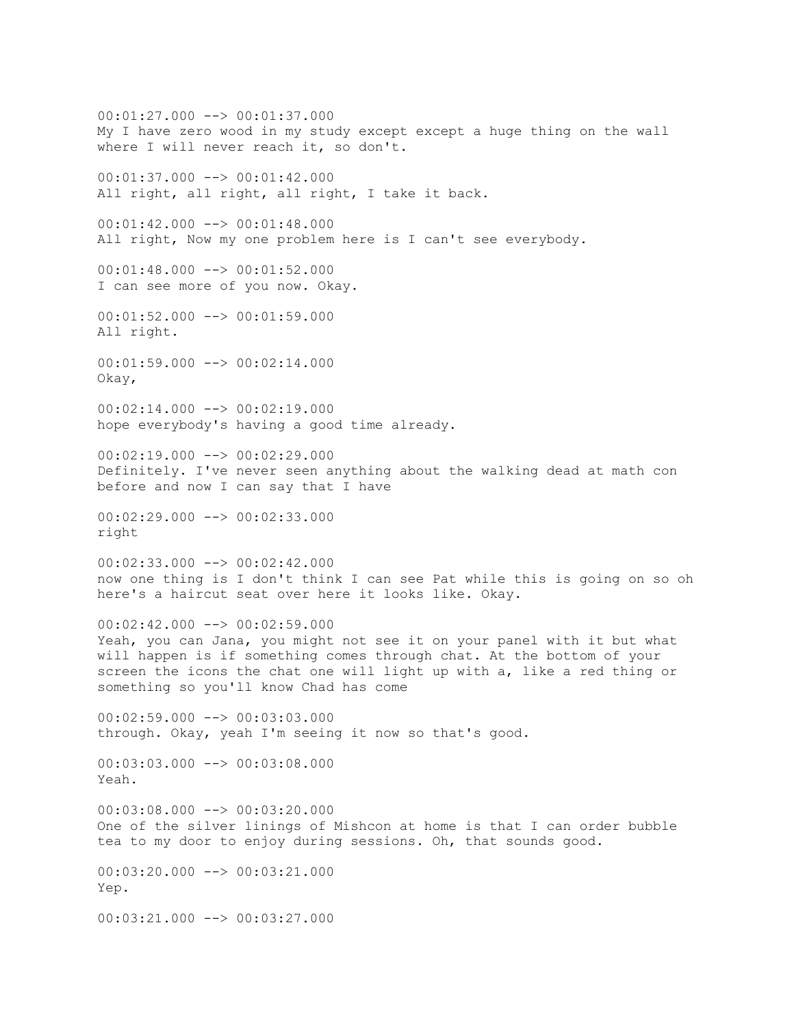00:01:27.000 --> 00:01:37.000 My I have zero wood in my study except except a huge thing on the wall where I will never reach it, so don't.  $00:01:37.000$  -->  $00:01:42.000$ All right, all right, all right, I take it back. 00:01:42.000 --> 00:01:48.000 All right, Now my one problem here is I can't see everybody. 00:01:48.000 --> 00:01:52.000 I can see more of you now. Okay. 00:01:52.000 --> 00:01:59.000 All right.  $00:01:59.000$  -->  $00:02:14.000$ Okay,  $00:02:14.000$  -->  $00:02:19.000$ hope everybody's having a good time already. 00:02:19.000 --> 00:02:29.000 Definitely. I've never seen anything about the walking dead at math con before and now I can say that I have  $00:02:29.000$   $\longrightarrow$  00:02:33.000 right 00:02:33.000 --> 00:02:42.000 now one thing is I don't think I can see Pat while this is going on so oh here's a haircut seat over here it looks like. Okay. 00:02:42.000 --> 00:02:59.000 Yeah, you can Jana, you might not see it on your panel with it but what will happen is if something comes through chat. At the bottom of your screen the icons the chat one will light up with a, like a red thing or something so you'll know Chad has come 00:02:59.000 --> 00:03:03.000 through. Okay, yeah I'm seeing it now so that's good.  $00:03:03.000$  -->  $00:03:08.000$ Yeah.  $00:03:08.000$  -->  $00:03:20.000$ One of the silver linings of Mishcon at home is that I can order bubble tea to my door to enjoy during sessions. Oh, that sounds good. 00:03:20.000 --> 00:03:21.000 Yep.  $00:03:21.000$   $\rightarrow$   $00:03:27.000$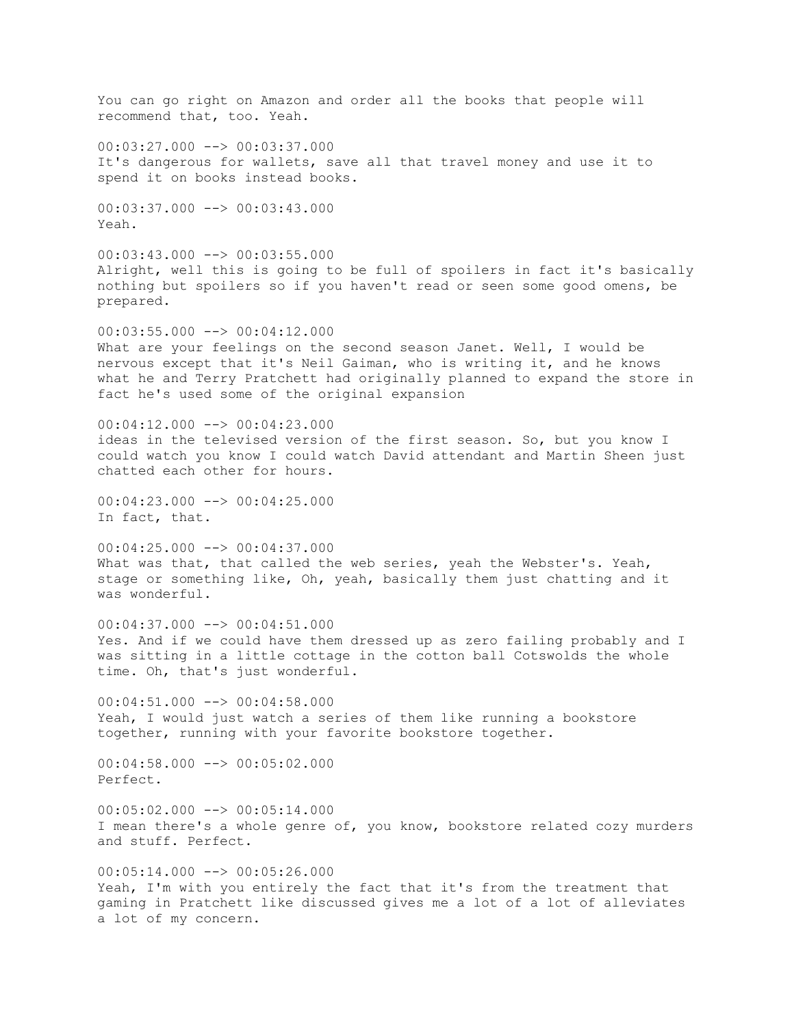You can go right on Amazon and order all the books that people will recommend that, too. Yeah.  $00:03:27.000$   $\rightarrow$   $\rightarrow$  00:03:37.000 It's dangerous for wallets, save all that travel money and use it to spend it on books instead books. 00:03:37.000 --> 00:03:43.000 Yeah.  $00:03:43.000$  -->  $00:03:55.000$ Alright, well this is going to be full of spoilers in fact it's basically nothing but spoilers so if you haven't read or seen some good omens, be prepared.  $00:03:55.000$  -->  $00:04:12.000$ What are your feelings on the second season Janet. Well, I would be nervous except that it's Neil Gaiman, who is writing it, and he knows what he and Terry Pratchett had originally planned to expand the store in fact he's used some of the original expansion  $00:04:12.000$   $\rightarrow$   $00:04:23.000$ ideas in the televised version of the first season. So, but you know I could watch you know I could watch David attendant and Martin Sheen just chatted each other for hours. 00:04:23.000 --> 00:04:25.000 In fact, that. 00:04:25.000 --> 00:04:37.000 What was that, that called the web series, yeah the Webster's. Yeah, stage or something like, Oh, yeah, basically them just chatting and it was wonderful.  $00:04:37.000$  -->  $00:04:51.000$ Yes. And if we could have them dressed up as zero failing probably and I was sitting in a little cottage in the cotton ball Cotswolds the whole time. Oh, that's just wonderful.  $00:04:51.000$   $\longrightarrow$  00:04:58.000 Yeah, I would just watch a series of them like running a bookstore together, running with your favorite bookstore together.  $00:04:58.000$  -->  $00:05:02.000$ Perfect.  $00:05:02.000$  -->  $00:05:14.000$ I mean there's a whole genre of, you know, bookstore related cozy murders and stuff. Perfect.  $00:05:14.000$  -->  $00:05:26.000$ Yeah, I'm with you entirely the fact that it's from the treatment that gaming in Pratchett like discussed gives me a lot of a lot of alleviates a lot of my concern.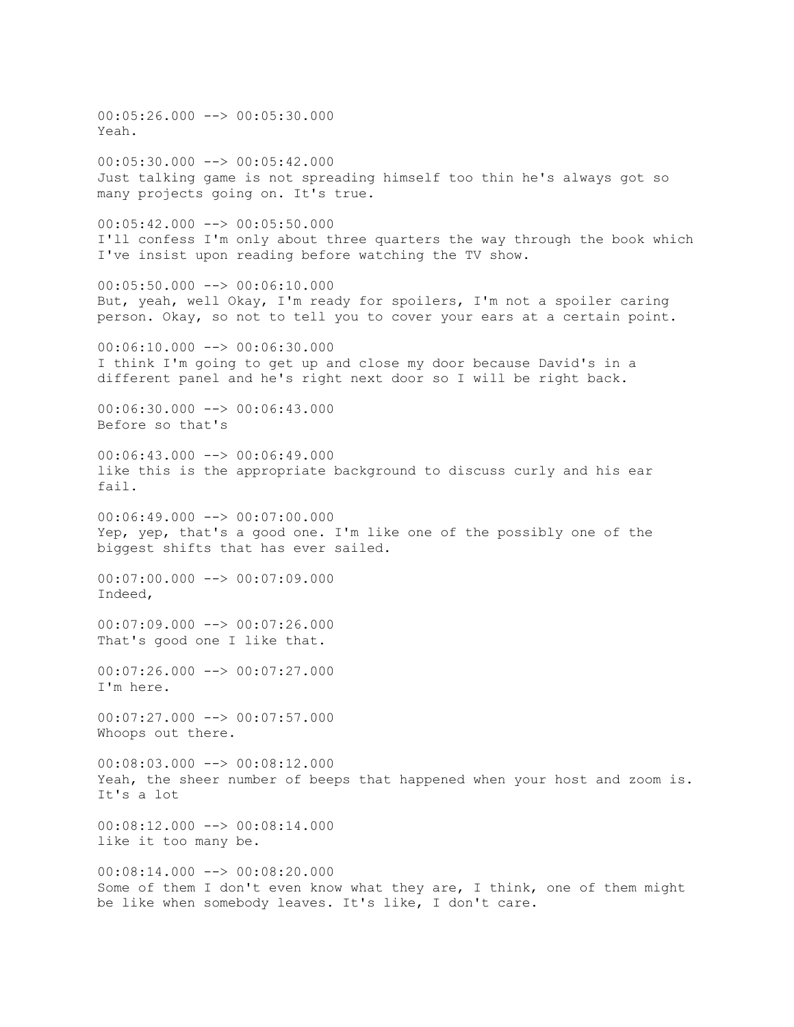00:05:26.000 --> 00:05:30.000 Yeah.  $00:05:30.000$  -->  $00:05:42.000$ Just talking game is not spreading himself too thin he's always got so many projects going on. It's true. 00:05:42.000 --> 00:05:50.000 I'll confess I'm only about three quarters the way through the book which I've insist upon reading before watching the TV show.  $00:05:50.000$  -->  $00:06:10.000$ But, yeah, well Okay, I'm ready for spoilers, I'm not a spoiler caring person. Okay, so not to tell you to cover your ears at a certain point. 00:06:10.000 --> 00:06:30.000 I think I'm going to get up and close my door because David's in a different panel and he's right next door so I will be right back.  $00:06:30.000$  -->  $00:06:43.000$ Before so that's 00:06:43.000 --> 00:06:49.000 like this is the appropriate background to discuss curly and his ear fail. 00:06:49.000 --> 00:07:00.000 Yep, yep, that's a good one. I'm like one of the possibly one of the biggest shifts that has ever sailed.  $00:07:00.000$  -->  $00:07:09.000$ Indeed, 00:07:09.000 --> 00:07:26.000 That's good one I like that.  $00:07:26.000$  -->  $00:07:27.000$ I'm here. 00:07:27.000 --> 00:07:57.000 Whoops out there. 00:08:03.000 --> 00:08:12.000 Yeah, the sheer number of beeps that happened when your host and zoom is. It's a lot  $00:08:12.000$   $\rightarrow$   $00:08:14.000$ like it too many be. 00:08:14.000 --> 00:08:20.000 Some of them I don't even know what they are, I think, one of them might be like when somebody leaves. It's like, I don't care.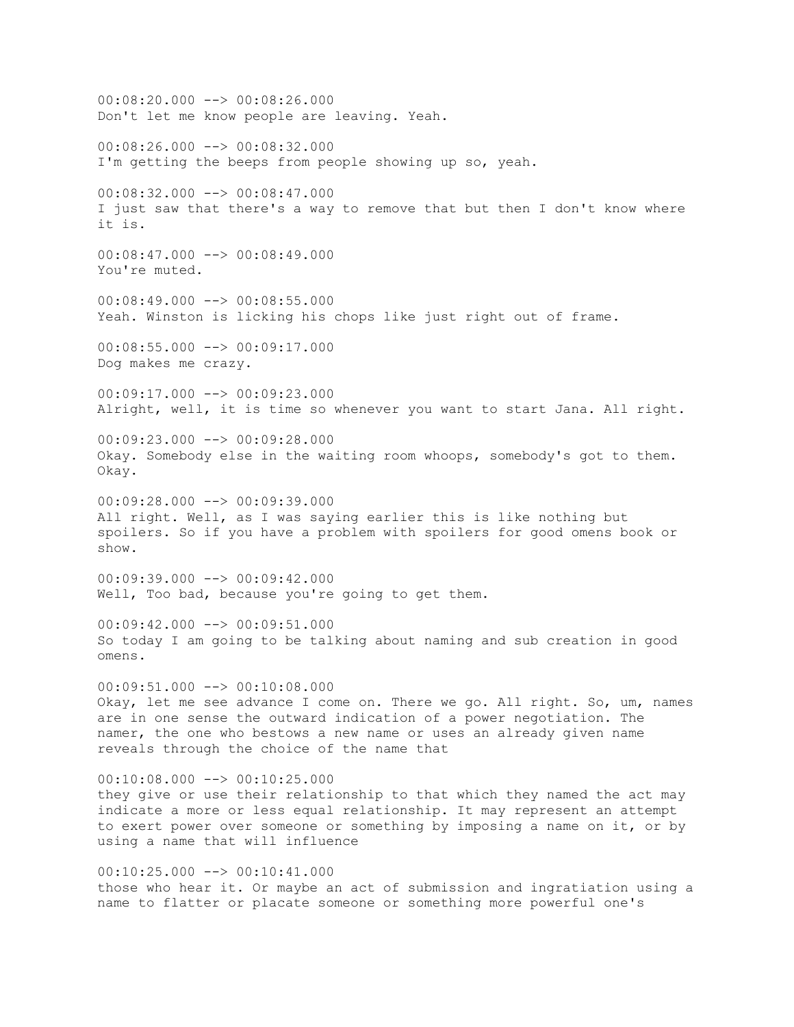$00:08:20.000$  -->  $00:08:26.000$ Don't let me know people are leaving. Yeah. 00:08:26.000 --> 00:08:32.000 I'm getting the beeps from people showing up so, yeah. 00:08:32.000 --> 00:08:47.000 I just saw that there's a way to remove that but then I don't know where it is.  $00:08:47.000$  -->  $00:08:49.000$ You're muted. 00:08:49.000 --> 00:08:55.000 Yeah. Winston is licking his chops like just right out of frame. 00:08:55.000 --> 00:09:17.000 Dog makes me crazy. 00:09:17.000 --> 00:09:23.000 Alright, well, it is time so whenever you want to start Jana. All right. 00:09:23.000 --> 00:09:28.000 Okay. Somebody else in the waiting room whoops, somebody's got to them. Okay.  $00:09:28.000$  -->  $00:09:39.000$ All right. Well, as I was saying earlier this is like nothing but spoilers. So if you have a problem with spoilers for good omens book or show.  $00:09:39.000$  -->  $00:09:42.000$ Well, Too bad, because you're going to get them. 00:09:42.000 --> 00:09:51.000 So today I am going to be talking about naming and sub creation in good omens.  $00:09:51.000$  -->  $00:10:08.000$ Okay, let me see advance I come on. There we go. All right. So, um, names are in one sense the outward indication of a power negotiation. The namer, the one who bestows a new name or uses an already given name reveals through the choice of the name that  $00:10:08.000$  -->  $00:10:25.000$ they give or use their relationship to that which they named the act may indicate a more or less equal relationship. It may represent an attempt to exert power over someone or something by imposing a name on it, or by using a name that will influence  $00:10:25.000$  -->  $00:10:41.000$ those who hear it. Or maybe an act of submission and ingratiation using a name to flatter or placate someone or something more powerful one's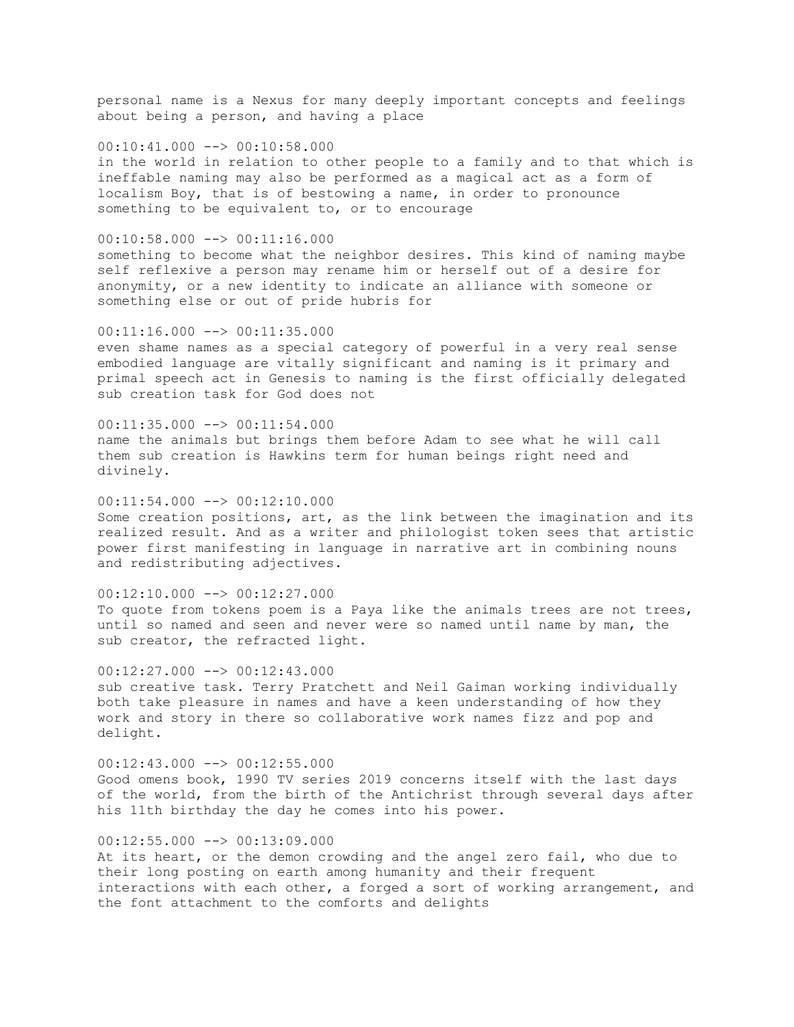personal name is a Nexus for many deeply important concepts and feelings about being a person, and having a place

00:10:41.000 --> 00:10:58.000 in the world in relation to other people to a family and to that which is ineffable naming may also be performed as a magical act as a form of localism Boy, that is of bestowing a name, in order to pronounce something to be equivalent to, or to encourage

 $00:10:58.000$  -->  $00:11:16.000$ something to become what the neighbor desires. This kind of naming maybe self reflexive a person may rename him or herself out of a desire for anonymity, or a new identity to indicate an alliance with someone or something else or out of pride hubris for

 $00:11:16.000$  -->  $00:11:35.000$ even shame names as a special category of powerful in a very real sense embodied language are vitally significant and naming is it primary and primal speech act in Genesis to naming is the first officially delegated sub creation task for God does not

 $00:11:35.000$  -->  $00:11:54.000$ name the animals but brings them before Adam to see what he will call them sub creation is Hawkins term for human beings right need and divinely.

 $00:11:54.000$  -->  $00:12:10.000$ Some creation positions, art, as the link between the imagination and its realized result. And as a writer and philologist token sees that artistic power first manifesting in language in narrative art in combining nouns and redistributing adjectives.

 $00:12:10.000$  -->  $00:12:27.000$ To quote from tokens poem is a Paya like the animals trees are not trees, until so named and seen and never were so named until name by man, the sub creator, the refracted light.

 $00:12:27.000$  -->  $00:12:43.000$ sub creative task. Terry Pratchett and Neil Gaiman working individually both take pleasure in names and have a keen understanding of how they work and story in there so collaborative work names fizz and pop and delight.

00:12:43.000 --> 00:12:55.000 Good omens book, 1990 TV series 2019 concerns itself with the last days of the world, from the birth of the Antichrist through several days after his 11th birthday the day he comes into his power.

## $00:12:55.000$  -->  $00:13:09.000$

At its heart, or the demon crowding and the angel zero fail, who due to their long posting on earth among humanity and their frequent interactions with each other, a forged a sort of working arrangement, and the font attachment to the comforts and delights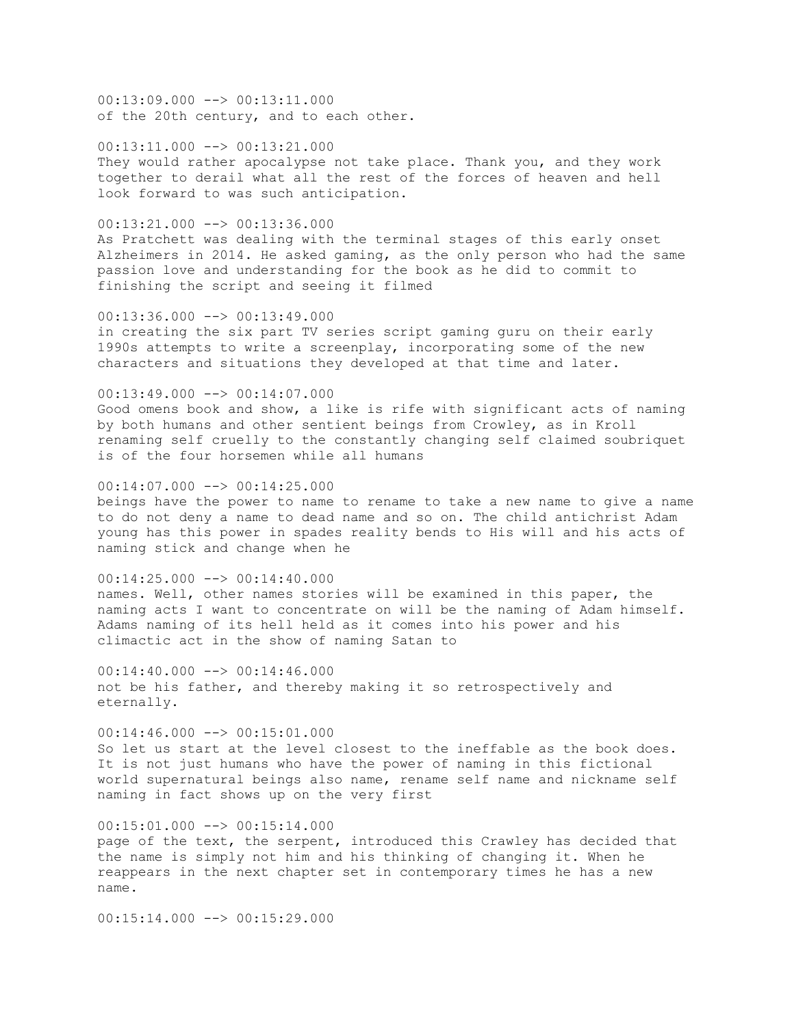00:13:09.000 --> 00:13:11.000 of the 20th century, and to each other.

 $00:13:11.000$   $\rightarrow$   $00:13:21.000$ They would rather apocalypse not take place. Thank you, and they work together to derail what all the rest of the forces of heaven and hell look forward to was such anticipation.

 $00:13:21.000$  -->  $00:13:36.000$ As Pratchett was dealing with the terminal stages of this early onset Alzheimers in 2014. He asked gaming, as the only person who had the same passion love and understanding for the book as he did to commit to finishing the script and seeing it filmed

 $00:13:36.000$  -->  $00:13:49.000$ in creating the six part TV series script gaming guru on their early 1990s attempts to write a screenplay, incorporating some of the new characters and situations they developed at that time and later.

 $00:13:49.000$  -->  $00:14:07.000$ Good omens book and show, a like is rife with significant acts of naming by both humans and other sentient beings from Crowley, as in Kroll renaming self cruelly to the constantly changing self claimed soubriquet is of the four horsemen while all humans

00:14:07.000 --> 00:14:25.000 beings have the power to name to rename to take a new name to give a name to do not deny a name to dead name and so on. The child antichrist Adam young has this power in spades reality bends to His will and his acts of naming stick and change when he

 $00:14:25.000$  -->  $00:14:40.000$ names. Well, other names stories will be examined in this paper, the naming acts I want to concentrate on will be the naming of Adam himself. Adams naming of its hell held as it comes into his power and his climactic act in the show of naming Satan to

 $00:14:40.000$  -->  $00:14:46.000$ not be his father, and thereby making it so retrospectively and eternally.

 $00:14:46.000$  -->  $00:15:01.000$ So let us start at the level closest to the ineffable as the book does. It is not just humans who have the power of naming in this fictional world supernatural beings also name, rename self name and nickname self naming in fact shows up on the very first

 $00:15:01.000$  -->  $00:15:14.000$ page of the text, the serpent, introduced this Crawley has decided that the name is simply not him and his thinking of changing it. When he reappears in the next chapter set in contemporary times he has a new name.

 $00:15:14.000$   $\rightarrow$  00:15:29.000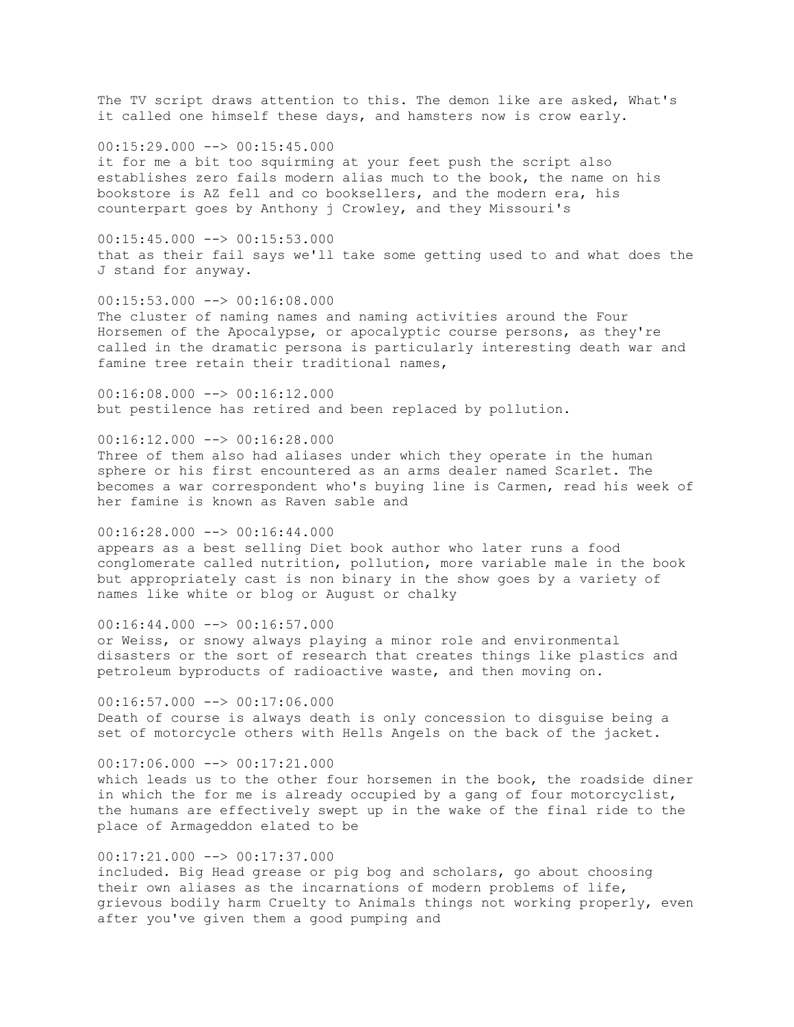The TV script draws attention to this. The demon like are asked, What's it called one himself these days, and hamsters now is crow early.

00:15:29.000 --> 00:15:45.000 it for me a bit too squirming at your feet push the script also establishes zero fails modern alias much to the book, the name on his bookstore is AZ fell and co booksellers, and the modern era, his counterpart goes by Anthony j Crowley, and they Missouri's

 $00:15:45.000$  -->  $00:15:53.000$ that as their fail says we'll take some getting used to and what does the J stand for anyway.

00:15:53.000 --> 00:16:08.000 The cluster of naming names and naming activities around the Four Horsemen of the Apocalypse, or apocalyptic course persons, as they're called in the dramatic persona is particularly interesting death war and famine tree retain their traditional names,

00:16:08.000 --> 00:16:12.000 but pestilence has retired and been replaced by pollution.

00:16:12.000 --> 00:16:28.000 Three of them also had aliases under which they operate in the human

sphere or his first encountered as an arms dealer named Scarlet. The becomes a war correspondent who's buying line is Carmen, read his week of her famine is known as Raven sable and

 $00:16:28.000$  -->  $00:16:44.000$ appears as a best selling Diet book author who later runs a food conglomerate called nutrition, pollution, more variable male in the book but appropriately cast is non binary in the show goes by a variety of names like white or blog or August or chalky

 $00:16:44.000$  -->  $00:16:57.000$ or Weiss, or snowy always playing a minor role and environmental disasters or the sort of research that creates things like plastics and petroleum byproducts of radioactive waste, and then moving on.

 $00:16:57.000$   $\longrightarrow$  00:17:06.000 Death of course is always death is only concession to disguise being a set of motorcycle others with Hells Angels on the back of the jacket.

 $00:17:06.000$  -->  $00:17:21.000$ which leads us to the other four horsemen in the book, the roadside diner in which the for me is already occupied by a gang of four motorcyclist, the humans are effectively swept up in the wake of the final ride to the place of Armageddon elated to be

00:17:21.000 --> 00:17:37.000 included. Big Head grease or pig bog and scholars, go about choosing their own aliases as the incarnations of modern problems of life, grievous bodily harm Cruelty to Animals things not working properly, even after you've given them a good pumping and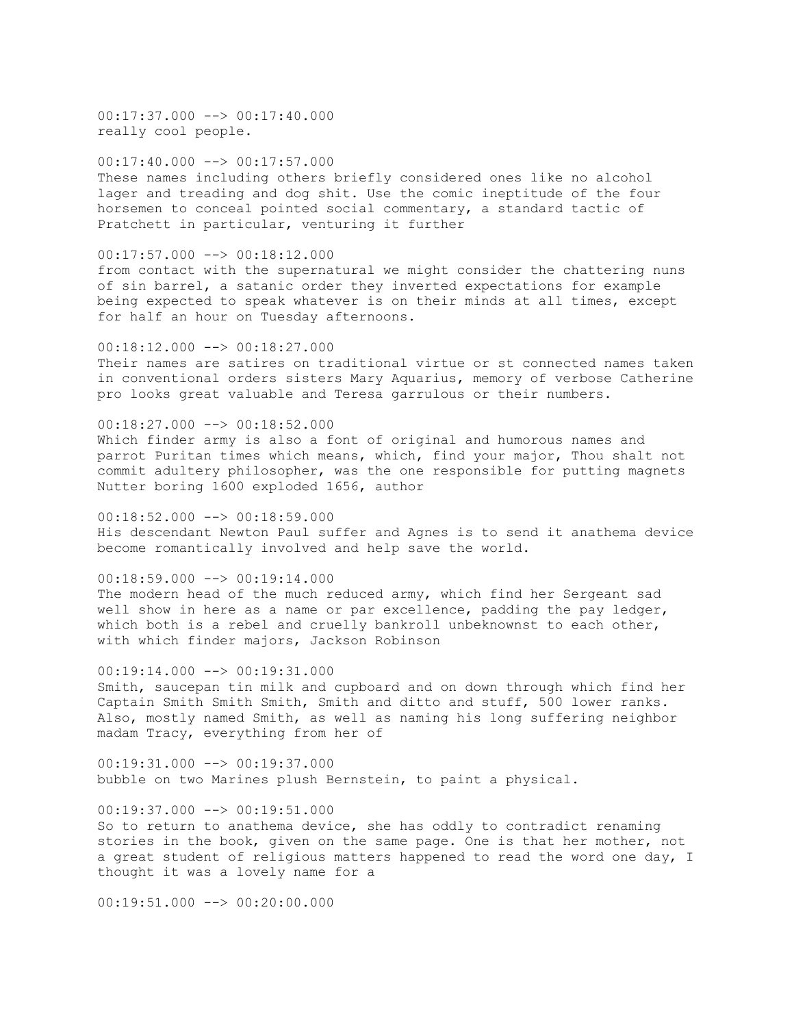$00:17:37.000$   $\rightarrow$  00:17:40.000 really cool people.

00:17:40.000 --> 00:17:57.000 These names including others briefly considered ones like no alcohol lager and treading and dog shit. Use the comic ineptitude of the four horsemen to conceal pointed social commentary, a standard tactic of Pratchett in particular, venturing it further

 $00:17:57.000$   $\longrightarrow$   $00:18:12.000$ from contact with the supernatural we might consider the chattering nuns of sin barrel, a satanic order they inverted expectations for example being expected to speak whatever is on their minds at all times, except for half an hour on Tuesday afternoons.

00:18:12.000 --> 00:18:27.000 Their names are satires on traditional virtue or st connected names taken in conventional orders sisters Mary Aquarius, memory of verbose Catherine pro looks great valuable and Teresa garrulous or their numbers.

00:18:27.000 --> 00:18:52.000 Which finder army is also a font of original and humorous names and parrot Puritan times which means, which, find your major, Thou shalt not commit adultery philosopher, was the one responsible for putting magnets Nutter boring 1600 exploded 1656, author

 $00:18:52.000$   $\longrightarrow$  00:18:59.000 His descendant Newton Paul suffer and Agnes is to send it anathema device become romantically involved and help save the world.

 $00:18:59.000$  -->  $00:19:14.000$ The modern head of the much reduced army, which find her Sergeant sad well show in here as a name or par excellence, padding the pay ledger, which both is a rebel and cruelly bankroll unbeknownst to each other, with which finder majors, Jackson Robinson

00:19:14.000 --> 00:19:31.000 Smith, saucepan tin milk and cupboard and on down through which find her Captain Smith Smith Smith, Smith and ditto and stuff, 500 lower ranks. Also, mostly named Smith, as well as naming his long suffering neighbor madam Tracy, everything from her of

00:19:31.000 --> 00:19:37.000 bubble on two Marines plush Bernstein, to paint a physical.

 $00:19:37.000$  -->  $00:19:51.000$ So to return to anathema device, she has oddly to contradict renaming

stories in the book, given on the same page. One is that her mother, not a great student of religious matters happened to read the word one day, I thought it was a lovely name for a

 $00:19:51.000$   $\rightarrow$  00:20:00.000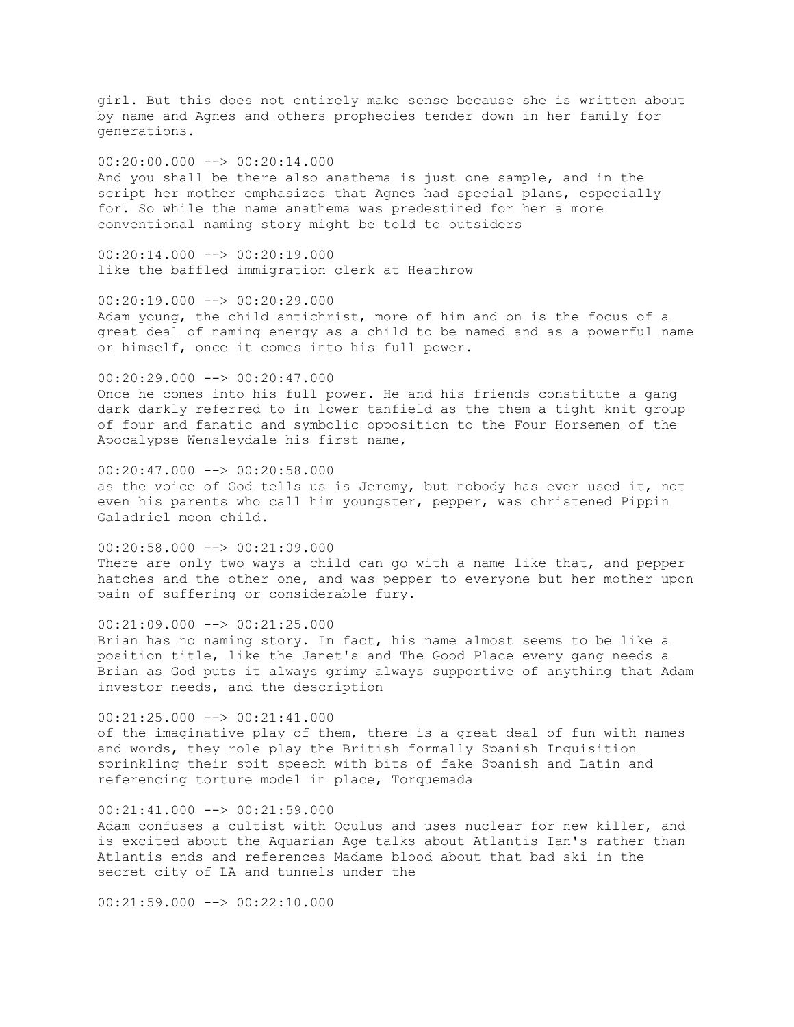girl. But this does not entirely make sense because she is written about by name and Agnes and others prophecies tender down in her family for generations.

## $00:20:00.000$  -->  $00:20:14.000$

And you shall be there also anathema is just one sample, and in the script her mother emphasizes that Agnes had special plans, especially for. So while the name anathema was predestined for her a more conventional naming story might be told to outsiders

 $00:20:14.000$   $\longrightarrow$   $00:20:19.000$ like the baffled immigration clerk at Heathrow

 $00:20:19.000$  -->  $00:20:29.000$ Adam young, the child antichrist, more of him and on is the focus of a great deal of naming energy as a child to be named and as a powerful name or himself, once it comes into his full power.

00:20:29.000 --> 00:20:47.000 Once he comes into his full power. He and his friends constitute a gang dark darkly referred to in lower tanfield as the them a tight knit group of four and fanatic and symbolic opposition to the Four Horsemen of the Apocalypse Wensleydale his first name,

 $00:20:47.000$  -->  $00:20:58.000$ as the voice of God tells us is Jeremy, but nobody has ever used it, not even his parents who call him youngster, pepper, was christened Pippin Galadriel moon child.

00:20:58.000 --> 00:21:09.000 There are only two ways a child can go with a name like that, and pepper hatches and the other one, and was pepper to everyone but her mother upon pain of suffering or considerable fury.

00:21:09.000 --> 00:21:25.000

Brian has no naming story. In fact, his name almost seems to be like a position title, like the Janet's and The Good Place every gang needs a Brian as God puts it always grimy always supportive of anything that Adam investor needs, and the description

00:21:25.000 --> 00:21:41.000 of the imaginative play of them, there is a great deal of fun with names and words, they role play the British formally Spanish Inquisition sprinkling their spit speech with bits of fake Spanish and Latin and referencing torture model in place, Torquemada

 $00:21:41.000$  -->  $00:21:59.000$ 

Adam confuses a cultist with Oculus and uses nuclear for new killer, and is excited about the Aquarian Age talks about Atlantis Ian's rather than Atlantis ends and references Madame blood about that bad ski in the secret city of LA and tunnels under the

 $00:21:59.000$  -->  $00:22:10.000$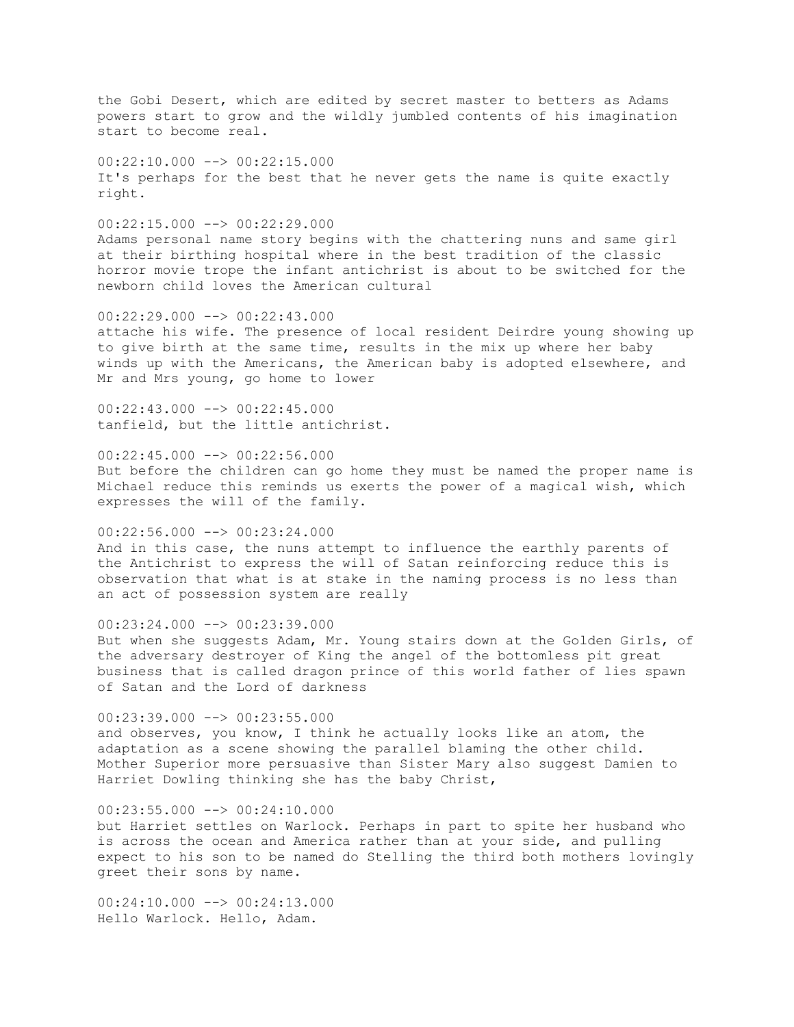the Gobi Desert, which are edited by secret master to betters as Adams powers start to grow and the wildly jumbled contents of his imagination start to become real.

 $00:22:10.000$  -->  $00:22:15.000$ It's perhaps for the best that he never gets the name is quite exactly right.

00:22:15.000 --> 00:22:29.000 Adams personal name story begins with the chattering nuns and same girl at their birthing hospital where in the best tradition of the classic horror movie trope the infant antichrist is about to be switched for the newborn child loves the American cultural

 $00:22:29.000$  -->  $00:22:43.000$ attache his wife. The presence of local resident Deirdre young showing up to give birth at the same time, results in the mix up where her baby winds up with the Americans, the American baby is adopted elsewhere, and Mr and Mrs young, go home to lower

00:22:43.000 --> 00:22:45.000 tanfield, but the little antichrist.

 $00:22:45.000$  -->  $00:22:56.000$ But before the children can go home they must be named the proper name is Michael reduce this reminds us exerts the power of a magical wish, which expresses the will of the family.

00:22:56.000 --> 00:23:24.000 And in this case, the nuns attempt to influence the earthly parents of the Antichrist to express the will of Satan reinforcing reduce this is observation that what is at stake in the naming process is no less than an act of possession system are really

 $00:23:24.000$  -->  $00:23:39.000$ But when she suggests Adam, Mr. Young stairs down at the Golden Girls, of the adversary destroyer of King the angel of the bottomless pit great business that is called dragon prince of this world father of lies spawn of Satan and the Lord of darkness

00:23:39.000 --> 00:23:55.000 and observes, you know, I think he actually looks like an atom, the adaptation as a scene showing the parallel blaming the other child. Mother Superior more persuasive than Sister Mary also suggest Damien to Harriet Dowling thinking she has the baby Christ,

 $00:23:55.000$  -->  $00:24:10.000$ but Harriet settles on Warlock. Perhaps in part to spite her husband who is across the ocean and America rather than at your side, and pulling expect to his son to be named do Stelling the third both mothers lovingly greet their sons by name.

 $00:24:10.000$  -->  $00:24:13.000$ Hello Warlock. Hello, Adam.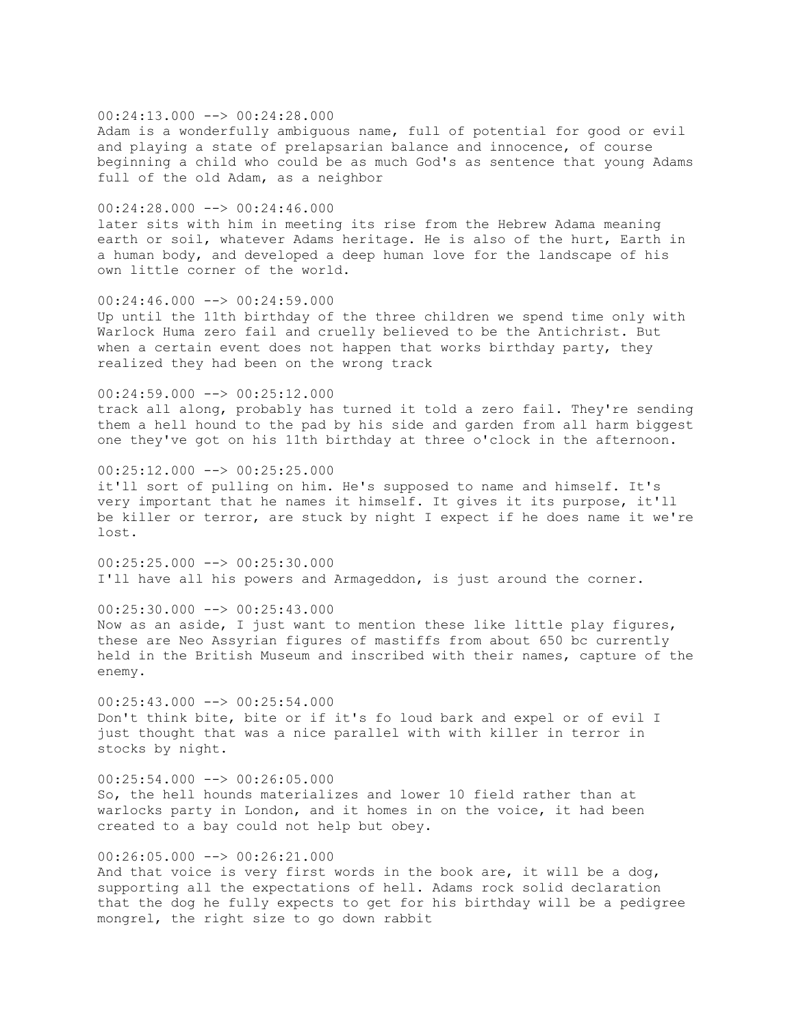### $00:24:13.000$  -->  $00:24:28.000$

Adam is a wonderfully ambiguous name, full of potential for good or evil and playing a state of prelapsarian balance and innocence, of course beginning a child who could be as much God's as sentence that young Adams full of the old Adam, as a neighbor

#### 00:24:28.000 --> 00:24:46.000

later sits with him in meeting its rise from the Hebrew Adama meaning earth or soil, whatever Adams heritage. He is also of the hurt, Earth in a human body, and developed a deep human love for the landscape of his own little corner of the world.

### 00:24:46.000 --> 00:24:59.000

Up until the 11th birthday of the three children we spend time only with Warlock Huma zero fail and cruelly believed to be the Antichrist. But when a certain event does not happen that works birthday party, they realized they had been on the wrong track

# 00:24:59.000 --> 00:25:12.000 track all along, probably has turned it told a zero fail. They're sending them a hell hound to the pad by his side and garden from all harm biggest one they've got on his 11th birthday at three o'clock in the afternoon.

 $00:25:12.000$  -->  $00:25:25.000$ it'll sort of pulling on him. He's supposed to name and himself. It's very important that he names it himself. It gives it its purpose, it'll be killer or terror, are stuck by night I expect if he does name it we're lost.

 $00:25:25.000$  -->  $00:25:30.000$ I'll have all his powers and Armageddon, is just around the corner.

#### $00:25:30.000$  -->  $00:25:43.000$

Now as an aside, I just want to mention these like little play figures, these are Neo Assyrian figures of mastiffs from about 650 bc currently held in the British Museum and inscribed with their names, capture of the enemy.

 $00:25:43.000$   $\rightarrow$   $00:25:54.000$ Don't think bite, bite or if it's fo loud bark and expel or of evil I just thought that was a nice parallel with with killer in terror in stocks by night.

# $00:25:54.000$  -->  $00:26:05.000$ So, the hell hounds materializes and lower 10 field rather than at warlocks party in London, and it homes in on the voice, it had been created to a bay could not help but obey.

00:26:05.000 --> 00:26:21.000 And that voice is very first words in the book are, it will be a dog, supporting all the expectations of hell. Adams rock solid declaration that the dog he fully expects to get for his birthday will be a pedigree mongrel, the right size to go down rabbit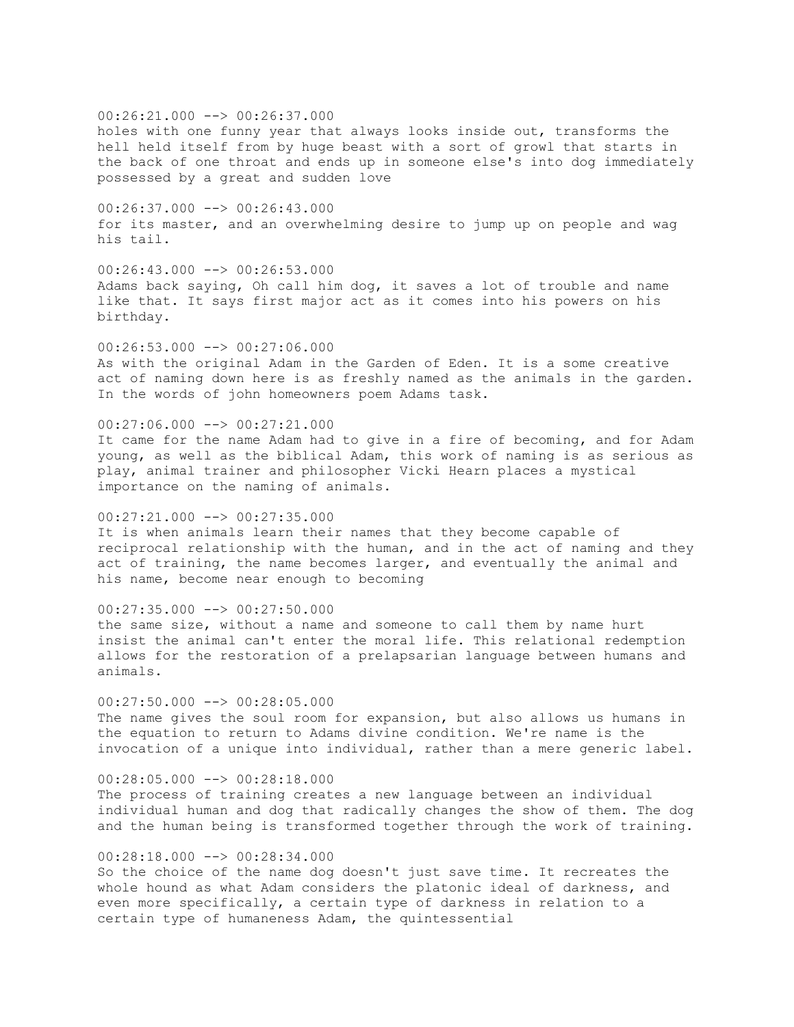00:26:21.000 --> 00:26:37.000 holes with one funny year that always looks inside out, transforms the hell held itself from by huge beast with a sort of growl that starts in the back of one throat and ends up in someone else's into dog immediately possessed by a great and sudden love

00:26:37.000 --> 00:26:43.000 for its master, and an overwhelming desire to jump up on people and wag his tail.

 $00:26:43.000$  -->  $00:26:53.000$ Adams back saying, Oh call him dog, it saves a lot of trouble and name like that. It says first major act as it comes into his powers on his birthday.

00:26:53.000 --> 00:27:06.000 As with the original Adam in the Garden of Eden. It is a some creative act of naming down here is as freshly named as the animals in the garden. In the words of john homeowners poem Adams task.

## 00:27:06.000 --> 00:27:21.000

It came for the name Adam had to give in a fire of becoming, and for Adam young, as well as the biblical Adam, this work of naming is as serious as play, animal trainer and philosopher Vicki Hearn places a mystical importance on the naming of animals.

### $00:27:21.000$   $\longrightarrow$   $00:27:35.000$

It is when animals learn their names that they become capable of reciprocal relationship with the human, and in the act of naming and they act of training, the name becomes larger, and eventually the animal and his name, become near enough to becoming

## $00:27:35.000$  -->  $00:27:50.000$

the same size, without a name and someone to call them by name hurt insist the animal can't enter the moral life. This relational redemption allows for the restoration of a prelapsarian language between humans and animals.

## $00:27:50.000$   $\longrightarrow$   $00:28:05.000$

The name gives the soul room for expansion, but also allows us humans in the equation to return to Adams divine condition. We're name is the invocation of a unique into individual, rather than a mere generic label.

## $00:28:05.000$  -->  $00:28:18.000$

The process of training creates a new language between an individual individual human and dog that radically changes the show of them. The dog and the human being is transformed together through the work of training.

## 00:28:18.000 --> 00:28:34.000

So the choice of the name dog doesn't just save time. It recreates the whole hound as what Adam considers the platonic ideal of darkness, and even more specifically, a certain type of darkness in relation to a certain type of humaneness Adam, the quintessential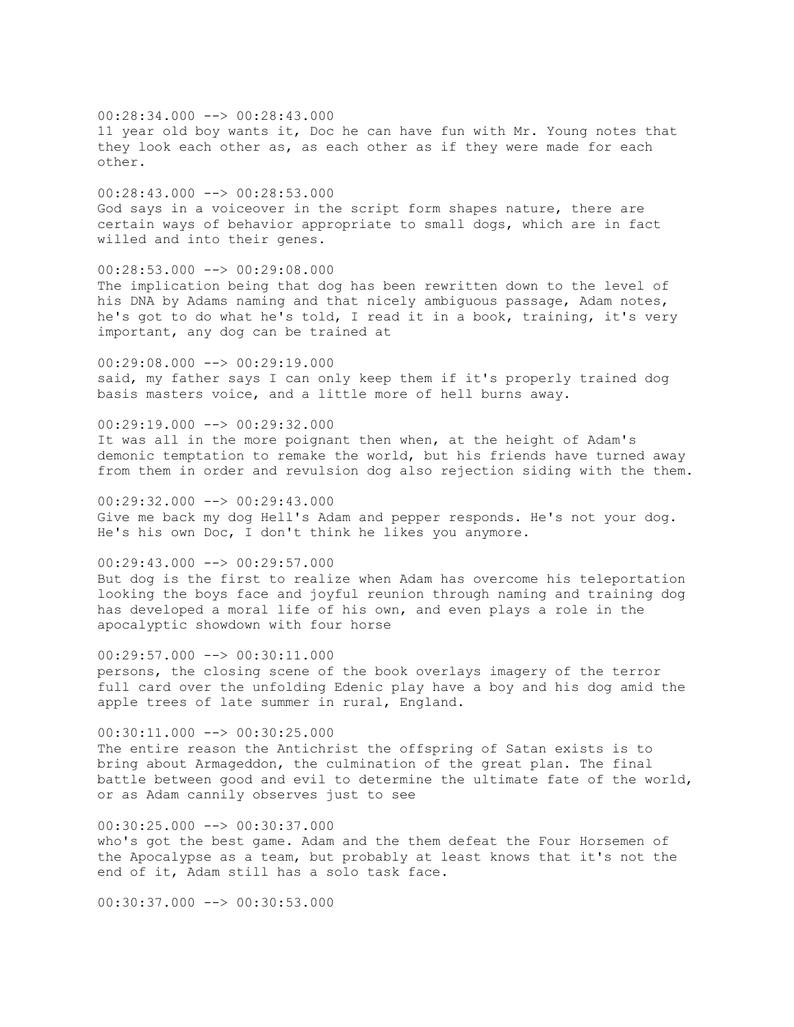00:28:34.000 --> 00:28:43.000 11 year old boy wants it, Doc he can have fun with Mr. Young notes that they look each other as, as each other as if they were made for each other.

00:28:43.000 --> 00:28:53.000 God says in a voiceover in the script form shapes nature, there are certain ways of behavior appropriate to small dogs, which are in fact willed and into their genes.

00:28:53.000 --> 00:29:08.000 The implication being that dog has been rewritten down to the level of his DNA by Adams naming and that nicely ambiguous passage, Adam notes, he's got to do what he's told, I read it in a book, training, it's very important, any dog can be trained at

 $00:29:08.000$  -->  $00:29:19.000$ said, my father says I can only keep them if it's properly trained dog basis masters voice, and a little more of hell burns away.

 $00:29:19.000$  -->  $00:29:32.000$ It was all in the more poignant then when, at the height of Adam's demonic temptation to remake the world, but his friends have turned away from them in order and revulsion dog also rejection siding with the them.

 $00:29:32.000$  -->  $00:29:43.000$ Give me back my dog Hell's Adam and pepper responds. He's not your dog. He's his own Doc, I don't think he likes you anymore.

00:29:43.000 --> 00:29:57.000 But dog is the first to realize when Adam has overcome his teleportation looking the boys face and joyful reunion through naming and training dog has developed a moral life of his own, and even plays a role in the apocalyptic showdown with four horse

00:29:57.000 --> 00:30:11.000 persons, the closing scene of the book overlays imagery of the terror full card over the unfolding Edenic play have a boy and his dog amid the apple trees of late summer in rural, England.

00:30:11.000 --> 00:30:25.000 The entire reason the Antichrist the offspring of Satan exists is to bring about Armageddon, the culmination of the great plan. The final battle between good and evil to determine the ultimate fate of the world, or as Adam cannily observes just to see

00:30:25.000 --> 00:30:37.000 who's got the best game. Adam and the them defeat the Four Horsemen of the Apocalypse as a team, but probably at least knows that it's not the end of it, Adam still has a solo task face.

00:30:37.000 --> 00:30:53.000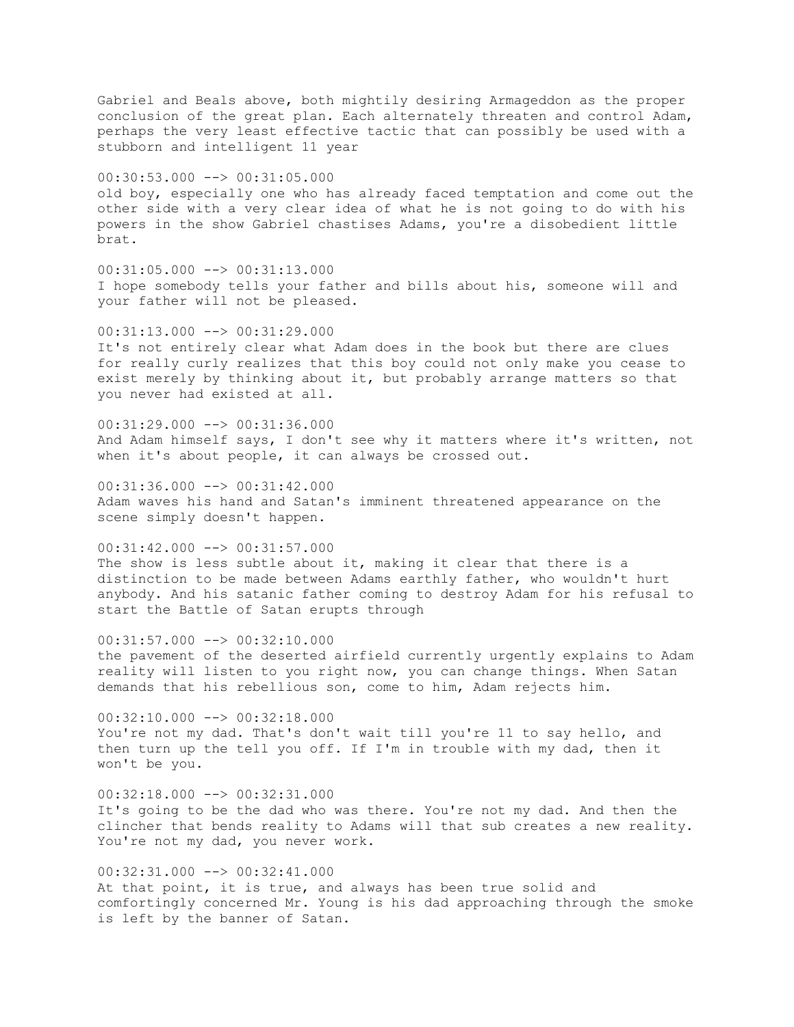Gabriel and Beals above, both mightily desiring Armageddon as the proper conclusion of the great plan. Each alternately threaten and control Adam, perhaps the very least effective tactic that can possibly be used with a stubborn and intelligent 11 year 00:30:53.000 --> 00:31:05.000 old boy, especially one who has already faced temptation and come out the other side with a very clear idea of what he is not going to do with his powers in the show Gabriel chastises Adams, you're a disobedient little brat. 00:31:05.000 --> 00:31:13.000 I hope somebody tells your father and bills about his, someone will and your father will not be pleased.  $00:31:13.000$  -->  $00:31:29.000$ It's not entirely clear what Adam does in the book but there are clues for really curly realizes that this boy could not only make you cease to exist merely by thinking about it, but probably arrange matters so that you never had existed at all.  $00:31:29.000$  -->  $00:31:36.000$ And Adam himself says, I don't see why it matters where it's written, not when it's about people, it can always be crossed out. 00:31:36.000 --> 00:31:42.000 Adam waves his hand and Satan's imminent threatened appearance on the scene simply doesn't happen. 00:31:42.000 --> 00:31:57.000 The show is less subtle about it, making it clear that there is a distinction to be made between Adams earthly father, who wouldn't hurt anybody. And his satanic father coming to destroy Adam for his refusal to start the Battle of Satan erupts through  $00:31:57.000$  -->  $00:32:10.000$ the pavement of the deserted airfield currently urgently explains to Adam reality will listen to you right now, you can change things. When Satan demands that his rebellious son, come to him, Adam rejects him. 00:32:10.000 --> 00:32:18.000 You're not my dad. That's don't wait till you're 11 to say hello, and then turn up the tell you off. If I'm in trouble with my dad, then it won't be you.  $00:32:18.000$  -->  $00:32:31.000$ It's going to be the dad who was there. You're not my dad. And then the clincher that bends reality to Adams will that sub creates a new reality. You're not my dad, you never work. 00:32:31.000 --> 00:32:41.000 At that point, it is true, and always has been true solid and

comfortingly concerned Mr. Young is his dad approaching through the smoke is left by the banner of Satan.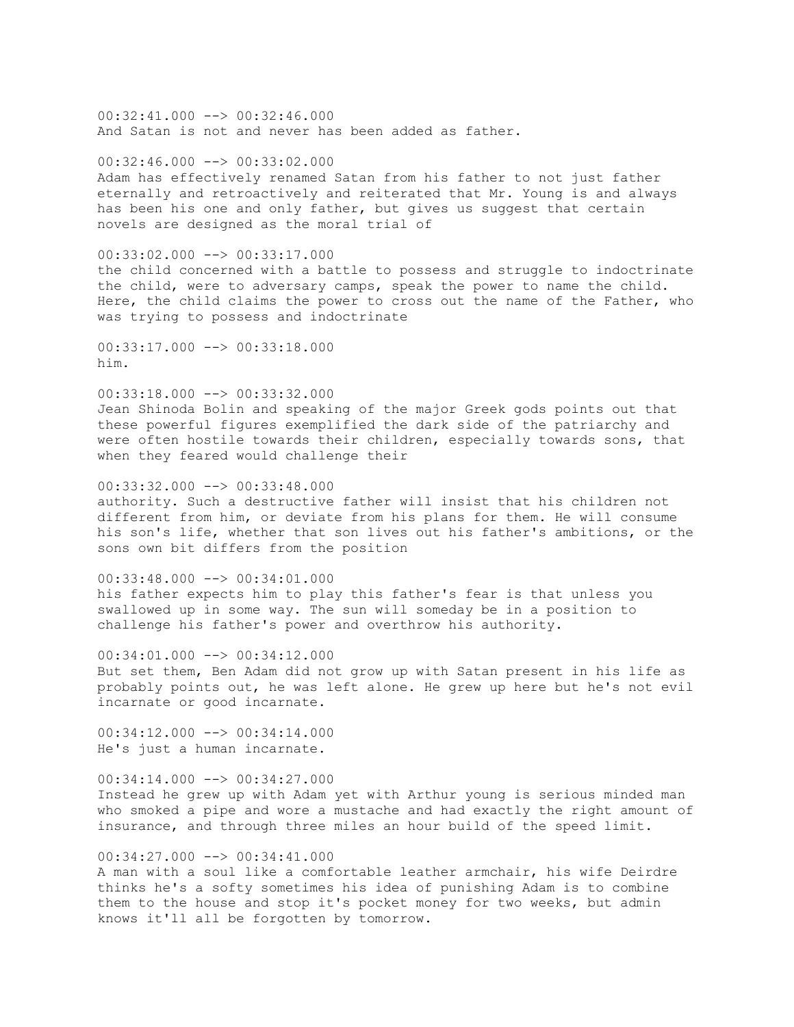$00:32:41.000$  -->  $00:32:46.000$ And Satan is not and never has been added as father.

00:32:46.000 --> 00:33:02.000

Adam has effectively renamed Satan from his father to not just father eternally and retroactively and reiterated that Mr. Young is and always has been his one and only father, but gives us suggest that certain novels are designed as the moral trial of

 $00:33:02.000$  -->  $00:33:17.000$ 

the child concerned with a battle to possess and struggle to indoctrinate the child, were to adversary camps, speak the power to name the child. Here, the child claims the power to cross out the name of the Father, who was trying to possess and indoctrinate

00:33:17.000 --> 00:33:18.000 him.

 $00:33:18.000$  -->  $00:33:32.000$ Jean Shinoda Bolin and speaking of the major Greek gods points out that these powerful figures exemplified the dark side of the patriarchy and were often hostile towards their children, especially towards sons, that when they feared would challenge their

00:33:32.000 --> 00:33:48.000 authority. Such a destructive father will insist that his children not different from him, or deviate from his plans for them. He will consume his son's life, whether that son lives out his father's ambitions, or the sons own bit differs from the position

 $00:33:48.000$  -->  $00:34:01.000$ his father expects him to play this father's fear is that unless you swallowed up in some way. The sun will someday be in a position to challenge his father's power and overthrow his authority.

00:34:01.000 --> 00:34:12.000 But set them, Ben Adam did not grow up with Satan present in his life as probably points out, he was left alone. He grew up here but he's not evil incarnate or good incarnate.

00:34:12.000 --> 00:34:14.000 He's just a human incarnate.

 $00:34:14.000$  -->  $00:34:27.000$ Instead he grew up with Adam yet with Arthur young is serious minded man who smoked a pipe and wore a mustache and had exactly the right amount of insurance, and through three miles an hour build of the speed limit.

 $00:34:27.000$  -->  $00:34:41.000$ A man with a soul like a comfortable leather armchair, his wife Deirdre

thinks he's a softy sometimes his idea of punishing Adam is to combine them to the house and stop it's pocket money for two weeks, but admin knows it'll all be forgotten by tomorrow.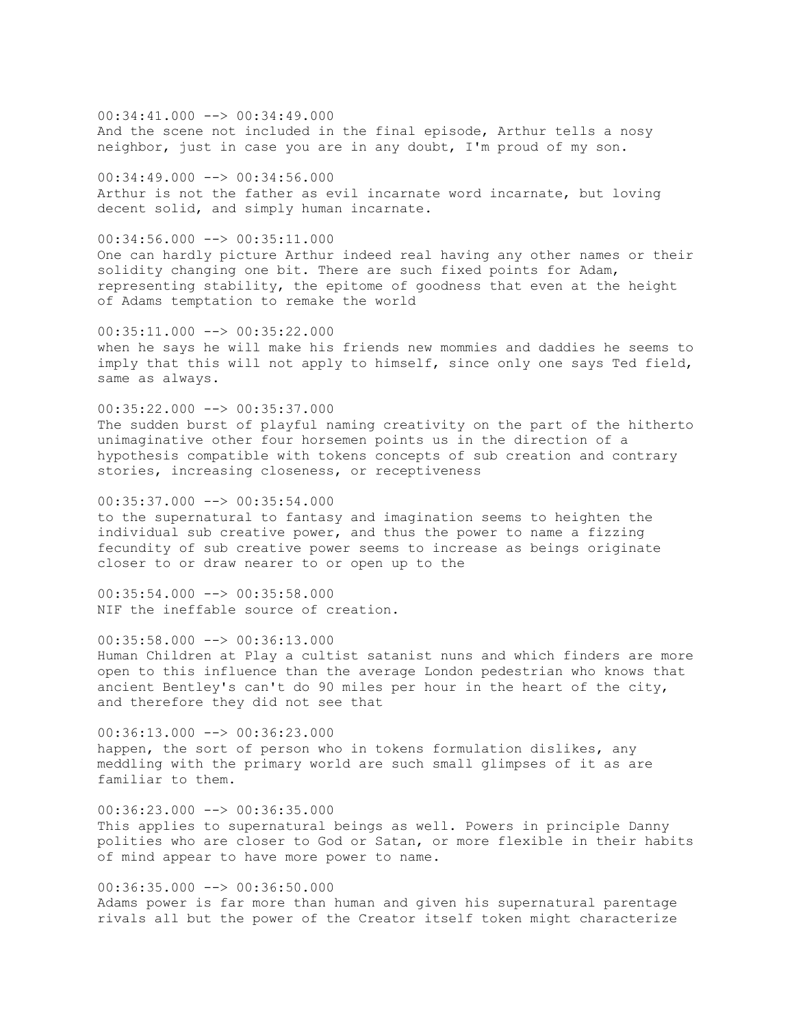00:34:41.000 --> 00:34:49.000 And the scene not included in the final episode, Arthur tells a nosy neighbor, just in case you are in any doubt, I'm proud of my son.

 $00:34:49.000$  -->  $00:34:56.000$ Arthur is not the father as evil incarnate word incarnate, but loving decent solid, and simply human incarnate.

00:34:56.000 --> 00:35:11.000 One can hardly picture Arthur indeed real having any other names or their solidity changing one bit. There are such fixed points for Adam, representing stability, the epitome of goodness that even at the height of Adams temptation to remake the world

 $00:35:11.000$  -->  $00:35:22.000$ when he says he will make his friends new mommies and daddies he seems to imply that this will not apply to himself, since only one says Ted field, same as always.

00:35:22.000 --> 00:35:37.000 The sudden burst of playful naming creativity on the part of the hitherto unimaginative other four horsemen points us in the direction of a hypothesis compatible with tokens concepts of sub creation and contrary stories, increasing closeness, or receptiveness

 $00:35:37.000$  -->  $00:35:54.000$ to the supernatural to fantasy and imagination seems to heighten the individual sub creative power, and thus the power to name a fizzing fecundity of sub creative power seems to increase as beings originate closer to or draw nearer to or open up to the

 $00:35:54.000$  -->  $00:35:58.000$ NIF the ineffable source of creation.

 $00:35:58.000$  -->  $00:36:13.000$ Human Children at Play a cultist satanist nuns and which finders are more open to this influence than the average London pedestrian who knows that ancient Bentley's can't do 90 miles per hour in the heart of the city, and therefore they did not see that

00:36:13.000 --> 00:36:23.000 happen, the sort of person who in tokens formulation dislikes, any meddling with the primary world are such small glimpses of it as are familiar to them.

 $00:36:23.000$  -->  $00:36:35.000$ This applies to supernatural beings as well. Powers in principle Danny polities who are closer to God or Satan, or more flexible in their habits of mind appear to have more power to name.

 $00:36:35.000$  -->  $00:36:50.000$ Adams power is far more than human and given his supernatural parentage rivals all but the power of the Creator itself token might characterize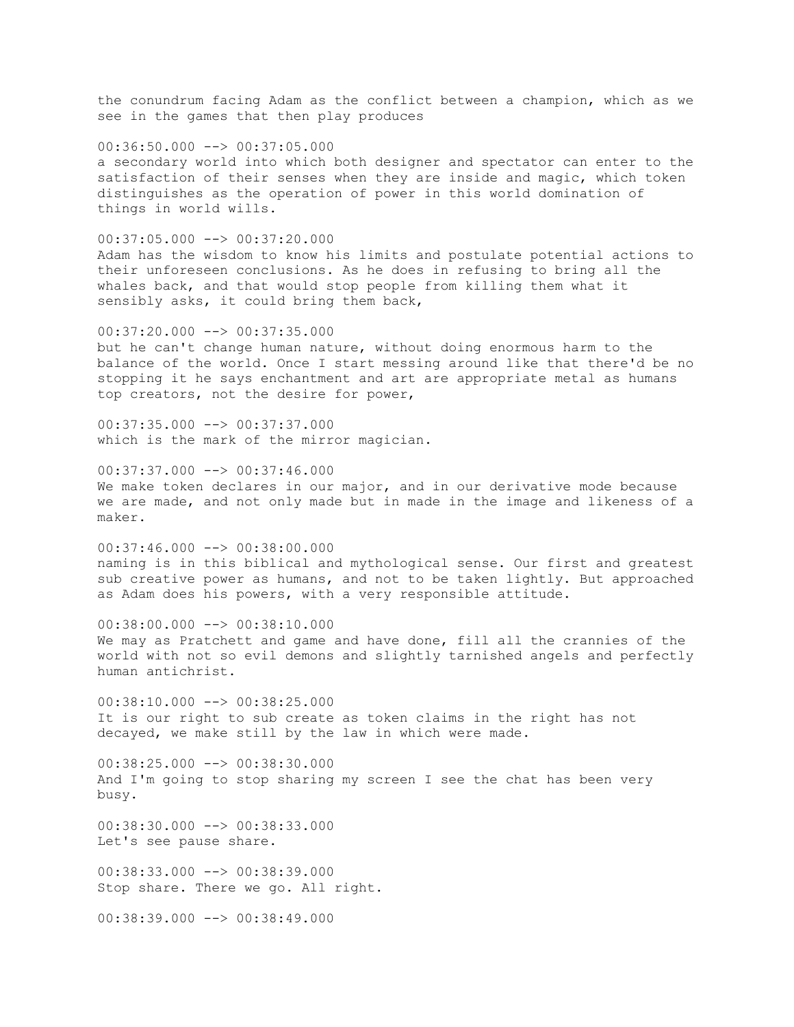the conundrum facing Adam as the conflict between a champion, which as we see in the games that then play produces

 $00:36:50.000$   $\rightarrow$   $\rightarrow$  00:37:05.000 a secondary world into which both designer and spectator can enter to the satisfaction of their senses when they are inside and magic, which token distinguishes as the operation of power in this world domination of things in world wills.

 $00:37:05.000$  -->  $00:37:20.000$ Adam has the wisdom to know his limits and postulate potential actions to their unforeseen conclusions. As he does in refusing to bring all the whales back, and that would stop people from killing them what it sensibly asks, it could bring them back,

 $00:37:20.000$  -->  $00:37:35.000$ but he can't change human nature, without doing enormous harm to the balance of the world. Once I start messing around like that there'd be no stopping it he says enchantment and art are appropriate metal as humans top creators, not the desire for power,

00:37:35.000 --> 00:37:37.000 which is the mark of the mirror magician.

 $00:37:37.000$  -->  $00:37:46.000$ We make token declares in our major, and in our derivative mode because we are made, and not only made but in made in the image and likeness of a maker.

00:37:46.000 --> 00:38:00.000 naming is in this biblical and mythological sense. Our first and greatest sub creative power as humans, and not to be taken lightly. But approached as Adam does his powers, with a very responsible attitude.

00:38:00.000 --> 00:38:10.000 We may as Pratchett and game and have done, fill all the crannies of the world with not so evil demons and slightly tarnished angels and perfectly human antichrist.

 $00:38:10.000$  -->  $00:38:25.000$ It is our right to sub create as token claims in the right has not decayed, we make still by the law in which were made.

00:38:25.000 --> 00:38:30.000 And I'm going to stop sharing my screen I see the chat has been very busy.

 $00:38:30.000$   $\rightarrow$   $\rightarrow$  00:38:33.000 Let's see pause share.

00:38:33.000 --> 00:38:39.000 Stop share. There we go. All right.

 $00:38:39.000$   $\longrightarrow$   $00:38:49.000$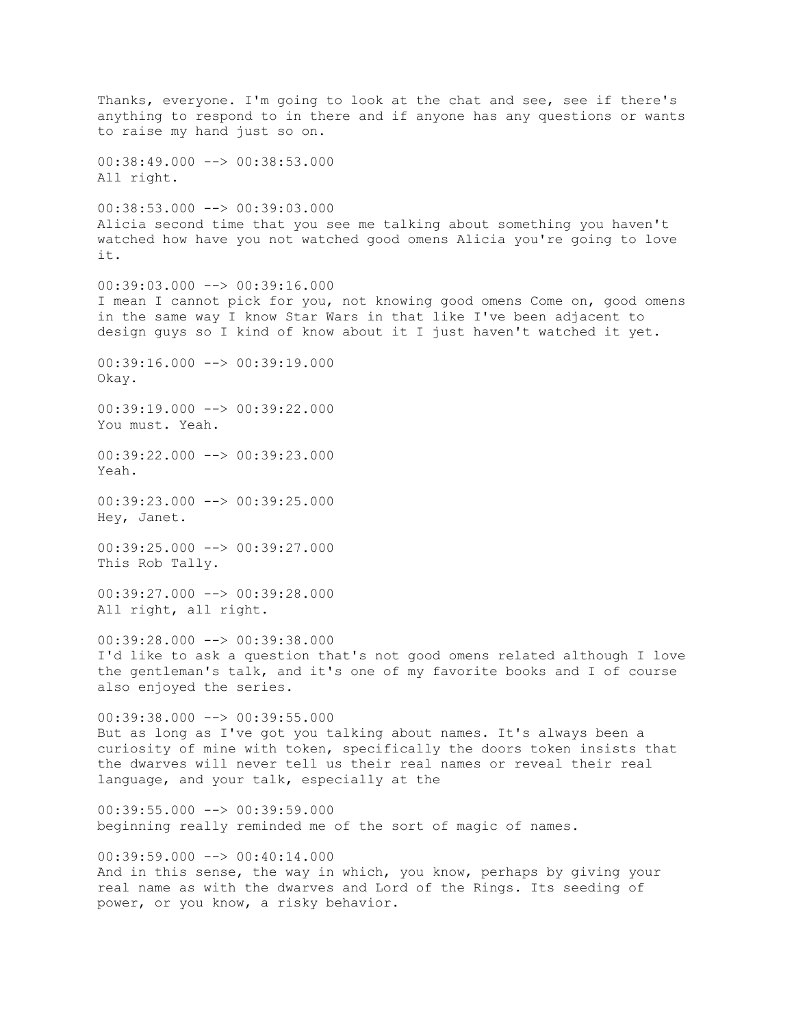Thanks, everyone. I'm going to look at the chat and see, see if there's anything to respond to in there and if anyone has any questions or wants to raise my hand just so on. 00:38:49.000 --> 00:38:53.000 All right. 00:38:53.000 --> 00:39:03.000 Alicia second time that you see me talking about something you haven't watched how have you not watched good omens Alicia you're going to love it.  $00:39:03.000$  -->  $00:39:16.000$ I mean I cannot pick for you, not knowing good omens Come on, good omens in the same way I know Star Wars in that like I've been adjacent to design guys so I kind of know about it I just haven't watched it yet.  $00:39:16.000$  -->  $00:39:19.000$ Okay.  $00:39:19.000$  -->  $00:39:22.000$ You must. Yeah. 00:39:22.000 --> 00:39:23.000 Yeah. 00:39:23.000 --> 00:39:25.000 Hey, Janet. 00:39:25.000 --> 00:39:27.000 This Rob Tally. 00:39:27.000 --> 00:39:28.000 All right, all right.  $00:39:28.000$  -->  $00:39:38.000$ I'd like to ask a question that's not good omens related although I love the gentleman's talk, and it's one of my favorite books and I of course also enjoyed the series. 00:39:38.000 --> 00:39:55.000 But as long as I've got you talking about names. It's always been a curiosity of mine with token, specifically the doors token insists that the dwarves will never tell us their real names or reveal their real language, and your talk, especially at the  $00:39:55.000$  -->  $00:39:59.000$ beginning really reminded me of the sort of magic of names.  $00:39:59.000$  -->  $00:40:14.000$ And in this sense, the way in which, you know, perhaps by giving your real name as with the dwarves and Lord of the Rings. Its seeding of power, or you know, a risky behavior.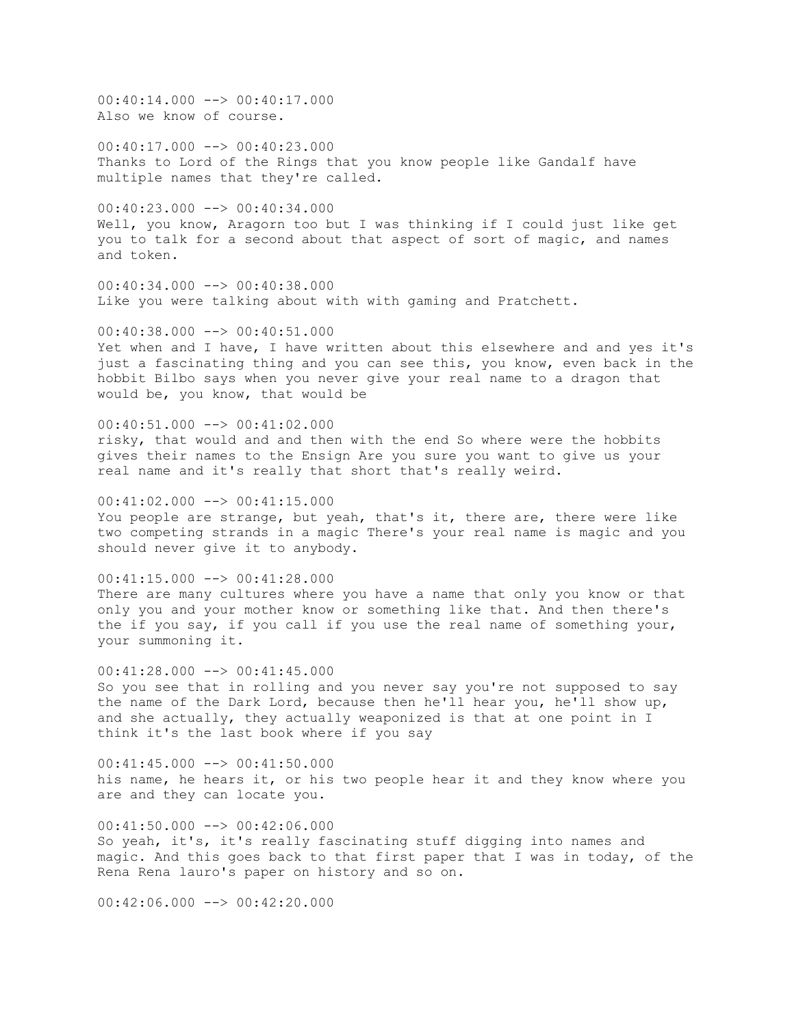00:40:14.000 --> 00:40:17.000 Also we know of course.

00:40:17.000 --> 00:40:23.000 Thanks to Lord of the Rings that you know people like Gandalf have multiple names that they're called.

00:40:23.000 --> 00:40:34.000 Well, you know, Aragorn too but I was thinking if I could just like get you to talk for a second about that aspect of sort of magic, and names and token.

 $00:40:34.000$  -->  $00:40:38.000$ Like you were talking about with with gaming and Pratchett.

 $00:40:38.000$   $\rightarrow$   $\rightarrow$  00:40:51.000 Yet when and I have, I have written about this elsewhere and and yes it's just a fascinating thing and you can see this, you know, even back in the hobbit Bilbo says when you never give your real name to a dragon that would be, you know, that would be

00:40:51.000 --> 00:41:02.000 risky, that would and and then with the end So where were the hobbits gives their names to the Ensign Are you sure you want to give us your real name and it's really that short that's really weird.

 $00:41:02.000$  -->  $00:41:15.000$ You people are strange, but yeah, that's it, there are, there were like two competing strands in a magic There's your real name is magic and you should never give it to anybody.

 $00:41:15.000$  -->  $00:41:28.000$ There are many cultures where you have a name that only you know or that only you and your mother know or something like that. And then there's the if you say, if you call if you use the real name of something your, your summoning it.

 $00:41:28.000$  -->  $00:41:45.000$ So you see that in rolling and you never say you're not supposed to say the name of the Dark Lord, because then he'll hear you, he'll show up, and she actually, they actually weaponized is that at one point in I think it's the last book where if you say

00:41:45.000 --> 00:41:50.000 his name, he hears it, or his two people hear it and they know where you are and they can locate you.

 $00:41:50.000$  -->  $00:42:06.000$ So yeah, it's, it's really fascinating stuff digging into names and magic. And this goes back to that first paper that I was in today, of the Rena Rena lauro's paper on history and so on.

 $00:42:06.000$  -->  $00:42:20.000$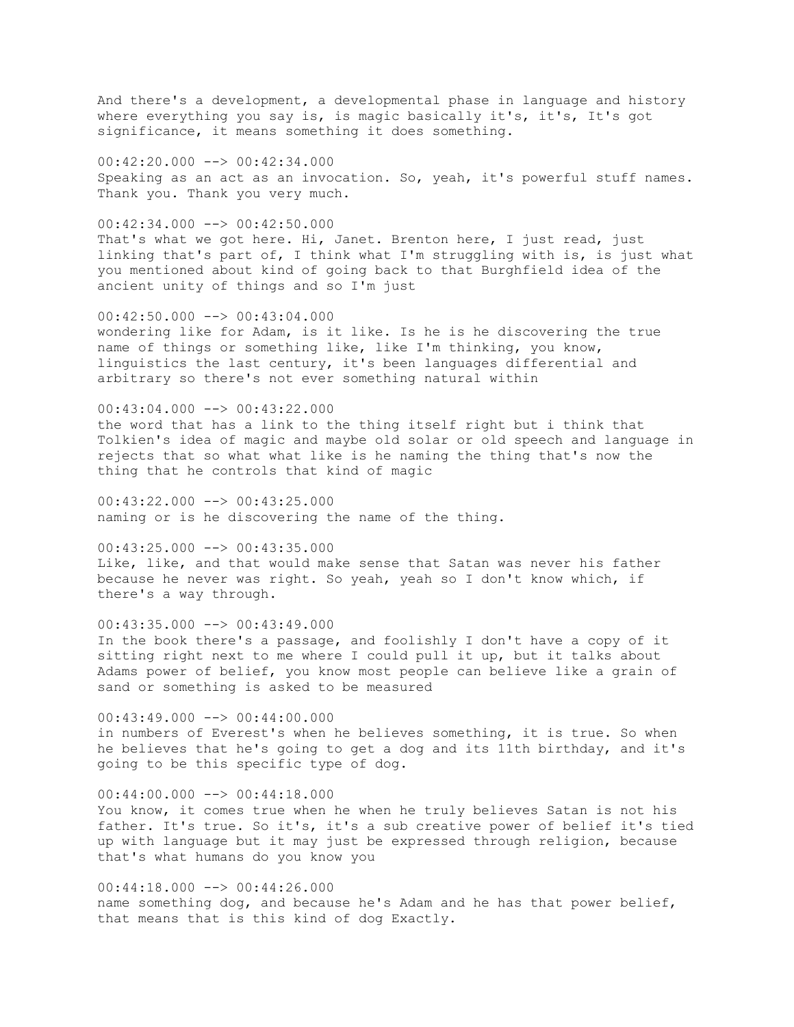And there's a development, a developmental phase in language and history where everything you say is, is magic basically it's, it's, It's got significance, it means something it does something.

00:42:20.000 --> 00:42:34.000 Speaking as an act as an invocation. So, yeah, it's powerful stuff names. Thank you. Thank you very much.

 $00:42:34.000$  -->  $00:42:50.000$ That's what we got here. Hi, Janet. Brenton here, I just read, just linking that's part of, I think what I'm struggling with is, is just what you mentioned about kind of going back to that Burghfield idea of the ancient unity of things and so I'm just

 $00:42:50.000$  -->  $00:43:04.000$ wondering like for Adam, is it like. Is he is he discovering the true name of things or something like, like I'm thinking, you know, linguistics the last century, it's been languages differential and arbitrary so there's not ever something natural within

 $00:43:04.000$  -->  $00:43:22.000$ the word that has a link to the thing itself right but i think that Tolkien's idea of magic and maybe old solar or old speech and language in rejects that so what what like is he naming the thing that's now the thing that he controls that kind of magic

 $00:43:22.000$  -->  $00:43:25.000$ naming or is he discovering the name of the thing.

00:43:25.000 --> 00:43:35.000 Like, like, and that would make sense that Satan was never his father because he never was right. So yeah, yeah so I don't know which, if there's a way through.

 $00:43:35.000$  -->  $00:43:49.000$ In the book there's a passage, and foolishly I don't have a copy of it sitting right next to me where I could pull it up, but it talks about Adams power of belief, you know most people can believe like a grain of sand or something is asked to be measured

 $00:43:49.000$  -->  $00:44:00.000$ in numbers of Everest's when he believes something, it is true. So when he believes that he's going to get a dog and its 11th birthday, and it's going to be this specific type of dog.

 $00:44:00.000$   $\longrightarrow$  00:44:18.000 You know, it comes true when he when he truly believes Satan is not his father. It's true. So it's, it's a sub creative power of belief it's tied up with language but it may just be expressed through religion, because that's what humans do you know you

 $00:44:18.000$  -->  $00:44:26.000$ name something dog, and because he's Adam and he has that power belief, that means that is this kind of dog Exactly.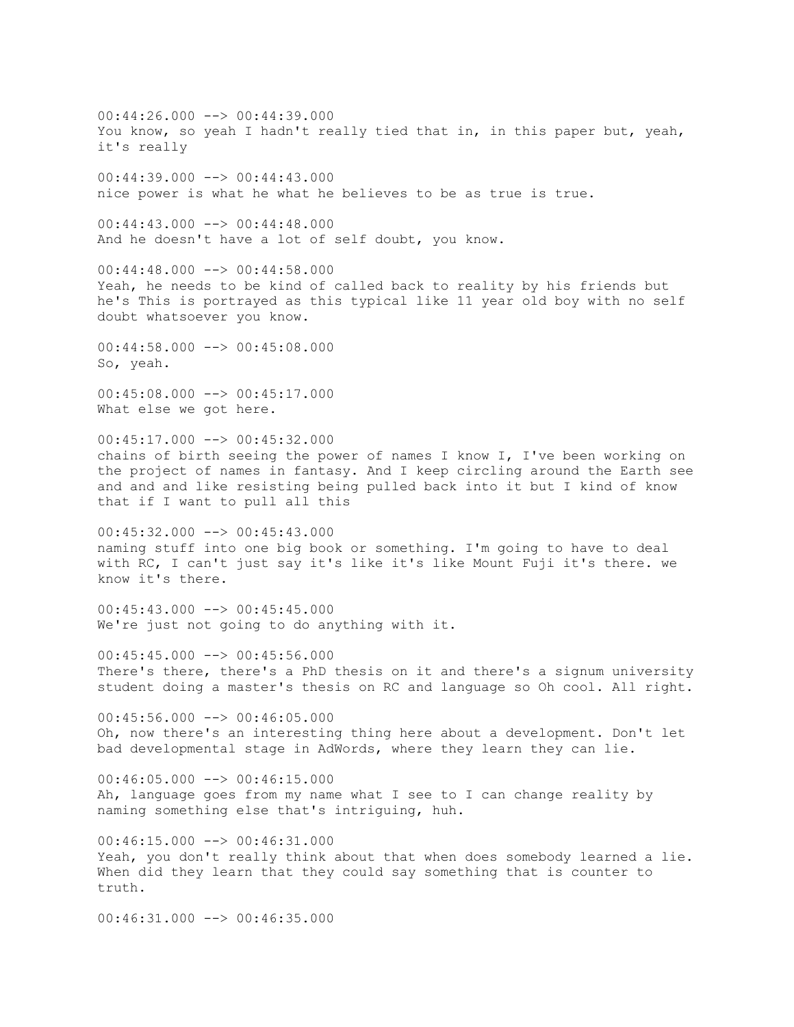$00:44:26.000$  -->  $00:44:39.000$ You know, so yeah I hadn't really tied that in, in this paper but, yeah, it's really  $00:44:39.000$  -->  $00:44:43.000$ nice power is what he what he believes to be as true is true.  $00:44:43.000$  -->  $00:44:48.000$ And he doesn't have a lot of self doubt, you know.  $00:44:48.000$  -->  $00:44:58.000$ Yeah, he needs to be kind of called back to reality by his friends but he's This is portrayed as this typical like 11 year old boy with no self doubt whatsoever you know. 00:44:58.000 --> 00:45:08.000 So, yeah. 00:45:08.000 --> 00:45:17.000 What else we got here. 00:45:17.000 --> 00:45:32.000 chains of birth seeing the power of names I know I, I've been working on the project of names in fantasy. And I keep circling around the Earth see and and and like resisting being pulled back into it but I kind of know that if I want to pull all this 00:45:32.000 --> 00:45:43.000 naming stuff into one big book or something. I'm going to have to deal with RC, I can't just say it's like it's like Mount Fuji it's there. we know it's there.  $00:45:43.000$  -->  $00:45:45.000$ We're just not going to do anything with it.  $00:45:45.000$  -->  $00:45:56.000$ There's there, there's a PhD thesis on it and there's a signum university student doing a master's thesis on RC and language so Oh cool. All right.  $00:45:56.000$  -->  $00:46:05.000$ Oh, now there's an interesting thing here about a development. Don't let bad developmental stage in AdWords, where they learn they can lie.  $00:46:05.000$  -->  $00:46:15.000$ Ah, language goes from my name what I see to I can change reality by naming something else that's intriguing, huh. 00:46:15.000 --> 00:46:31.000 Yeah, you don't really think about that when does somebody learned a lie. When did they learn that they could say something that is counter to truth.  $00:46:31.000$  -->  $00:46:35.000$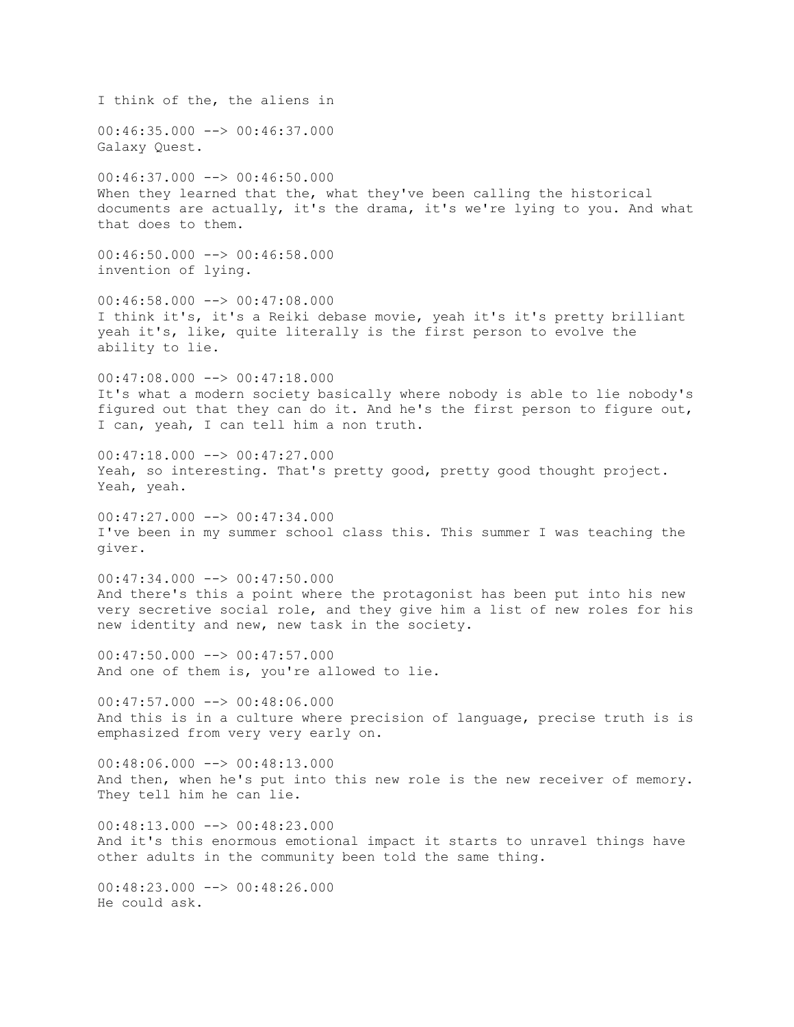I think of the, the aliens in  $00:46:35.000$  -->  $00:46:37.000$ Galaxy Quest.  $00:46:37.000$  -->  $00:46:50.000$ When they learned that the, what they've been calling the historical documents are actually, it's the drama, it's we're lying to you. And what that does to them.  $00:46:50.000$  -->  $00:46:58.000$ invention of lying.  $00:46:58.000$  -->  $00:47:08.000$ I think it's, it's a Reiki debase movie, yeah it's it's pretty brilliant yeah it's, like, quite literally is the first person to evolve the ability to lie. 00:47:08.000 --> 00:47:18.000 It's what a modern society basically where nobody is able to lie nobody's figured out that they can do it. And he's the first person to figure out, I can, yeah, I can tell him a non truth.  $00:47:18.000$  -->  $00:47:27.000$ Yeah, so interesting. That's pretty good, pretty good thought project. Yeah, yeah.  $00:47:27.000$   $\longrightarrow$  00:47:34.000 I've been in my summer school class this. This summer I was teaching the giver.  $00:47:34.000$  -->  $00:47:50.000$ And there's this a point where the protagonist has been put into his new very secretive social role, and they give him a list of new roles for his new identity and new, new task in the society.  $00:47:50.000$  -->  $00:47:57.000$ And one of them is, you're allowed to lie.  $00:47:57.000$   $\longrightarrow$  00:48:06.000 And this is in a culture where precision of language, precise truth is is emphasized from very very early on. 00:48:06.000 --> 00:48:13.000 And then, when he's put into this new role is the new receiver of memory. They tell him he can lie.  $00:48:13.000$   $\longrightarrow$   $00:48:23.000$ And it's this enormous emotional impact it starts to unravel things have other adults in the community been told the same thing.  $00:48:23.000$  -->  $00:48:26.000$ He could ask.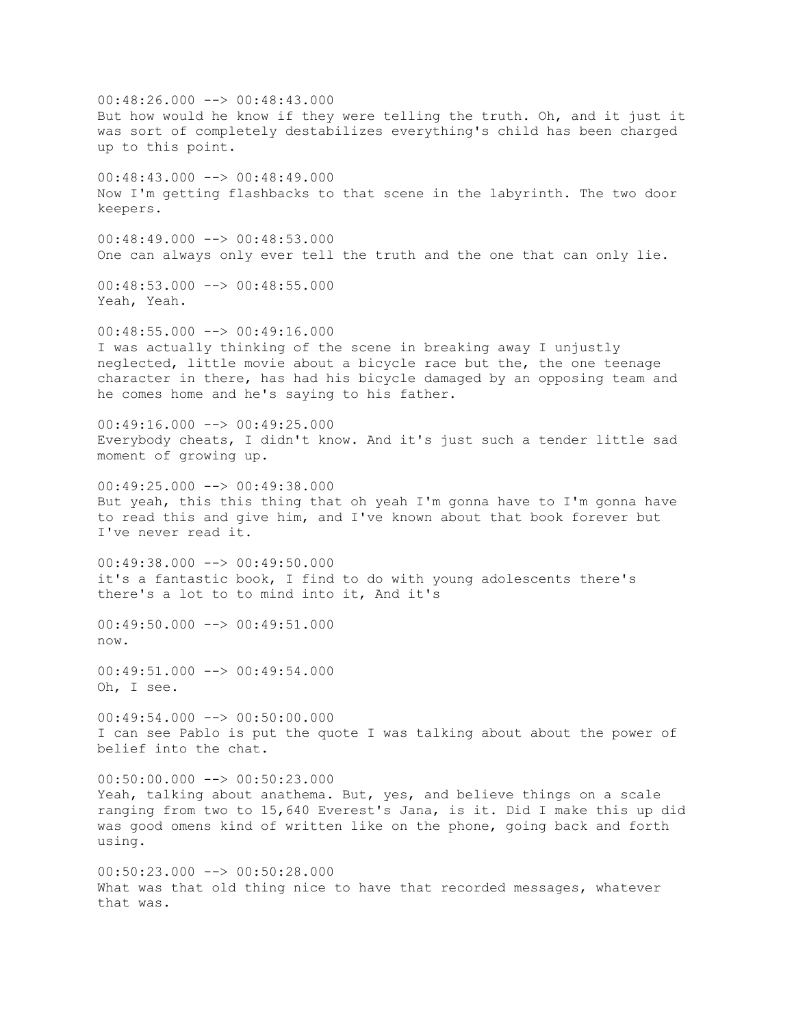$00:48:26.000$  -->  $00:48:43.000$ But how would he know if they were telling the truth. Oh, and it just it was sort of completely destabilizes everything's child has been charged up to this point.  $00:48:43.000$  -->  $00:48:49.000$ Now I'm getting flashbacks to that scene in the labyrinth. The two door keepers.  $00:48:49.000$  -->  $00:48:53.000$ One can always only ever tell the truth and the one that can only lie.  $00:48:53.000$  -->  $00:48:55.000$ Yeah, Yeah.  $00:48:55.000$   $\longrightarrow$  00:49:16.000 I was actually thinking of the scene in breaking away I unjustly neglected, little movie about a bicycle race but the, the one teenage character in there, has had his bicycle damaged by an opposing team and he comes home and he's saying to his father.  $00:49:16.000$   $\longrightarrow$  00:49:25.000 Everybody cheats, I didn't know. And it's just such a tender little sad moment of growing up. 00:49:25.000 --> 00:49:38.000 But yeah, this this thing that oh yeah I'm gonna have to I'm gonna have to read this and give him, and I've known about that book forever but I've never read it. 00:49:38.000 --> 00:49:50.000 it's a fantastic book, I find to do with young adolescents there's there's a lot to to mind into it, And it's 00:49:50.000 --> 00:49:51.000 now.  $00:49:51.000$  -->  $00:49:54.000$ Oh, I see.  $00:49:54.000$  -->  $00:50:00.000$ I can see Pablo is put the quote I was talking about about the power of belief into the chat.  $00:50:00.000$  -->  $00:50:23.000$ Yeah, talking about anathema. But, yes, and believe things on a scale ranging from two to 15,640 Everest's Jana, is it. Did I make this up did was good omens kind of written like on the phone, going back and forth using. 00:50:23.000 --> 00:50:28.000 What was that old thing nice to have that recorded messages, whatever that was.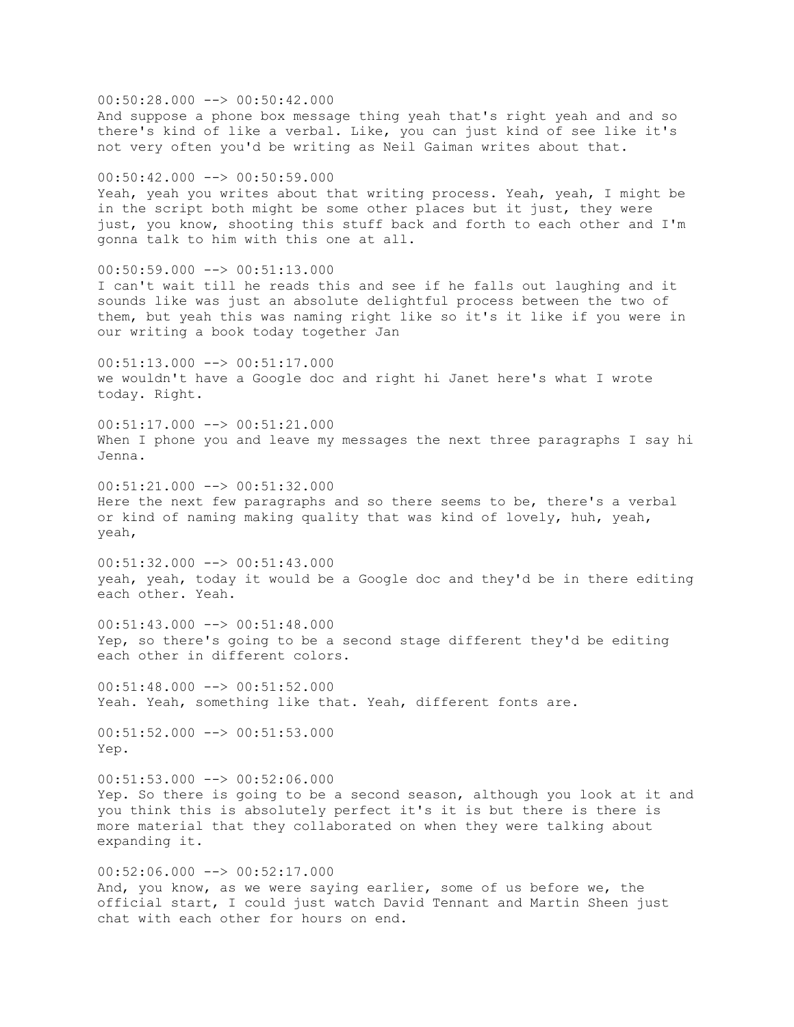00:50:28.000 --> 00:50:42.000 And suppose a phone box message thing yeah that's right yeah and and so there's kind of like a verbal. Like, you can just kind of see like it's not very often you'd be writing as Neil Gaiman writes about that. 00:50:42.000 --> 00:50:59.000 Yeah, yeah you writes about that writing process. Yeah, yeah, I might be in the script both might be some other places but it just, they were just, you know, shooting this stuff back and forth to each other and I'm gonna talk to him with this one at all. 00:50:59.000 --> 00:51:13.000 I can't wait till he reads this and see if he falls out laughing and it sounds like was just an absolute delightful process between the two of them, but yeah this was naming right like so it's it like if you were in our writing a book today together Jan  $00:51:13.000$  -->  $00:51:17.000$ we wouldn't have a Google doc and right hi Janet here's what I wrote today. Right.  $00:51:17.000$  -->  $00:51:21.000$ When I phone you and leave my messages the next three paragraphs I say hi Jenna. 00:51:21.000 --> 00:51:32.000 Here the next few paragraphs and so there seems to be, there's a verbal or kind of naming making quality that was kind of lovely, huh, yeah, yeah, 00:51:32.000 --> 00:51:43.000 yeah, yeah, today it would be a Google doc and they'd be in there editing each other. Yeah. 00:51:43.000 --> 00:51:48.000 Yep, so there's going to be a second stage different they'd be editing each other in different colors.  $00:51:48.000$  -->  $00:51:52.000$ Yeah. Yeah, something like that. Yeah, different fonts are. 00:51:52.000 --> 00:51:53.000 Yep.  $00:51:53.000$  -->  $00:52:06.000$ Yep. So there is going to be a second season, although you look at it and you think this is absolutely perfect it's it is but there is there is more material that they collaborated on when they were talking about expanding it.  $00:52:06.000$  -->  $00:52:17.000$ And, you know, as we were saying earlier, some of us before we, the official start, I could just watch David Tennant and Martin Sheen just

chat with each other for hours on end.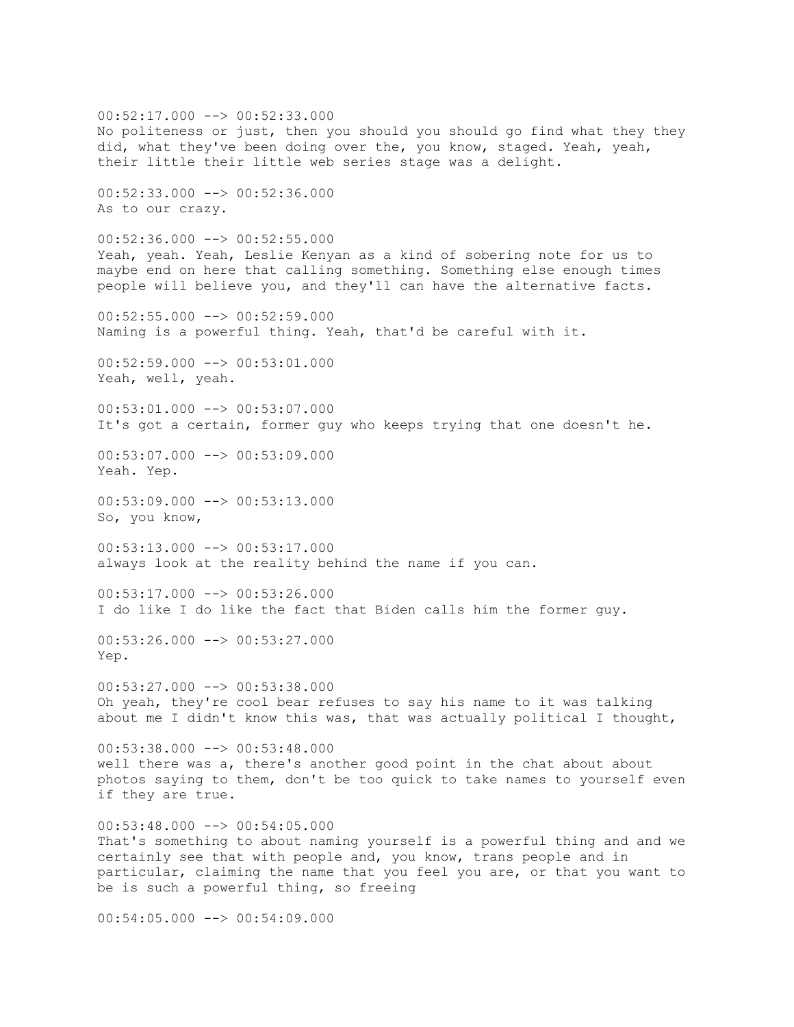$00:52:17.000$  -->  $00:52:33.000$ No politeness or just, then you should you should go find what they they did, what they've been doing over the, you know, staged. Yeah, yeah, their little their little web series stage was a delight. 00:52:33.000 --> 00:52:36.000 As to our crazy.  $00:52:36.000$  -->  $00:52:55.000$ Yeah, yeah. Yeah, Leslie Kenyan as a kind of sobering note for us to maybe end on here that calling something. Something else enough times people will believe you, and they'll can have the alternative facts.  $00:52:55.000$  -->  $00:52:59.000$ Naming is a powerful thing. Yeah, that'd be careful with it.  $00:52:59.000$  -->  $00:53:01.000$ Yeah, well, yeah.  $00:53:01.000$  -->  $00:53:07.000$ It's got a certain, former guy who keeps trying that one doesn't he. 00:53:07.000 --> 00:53:09.000 Yeah. Yep. 00:53:09.000 --> 00:53:13.000 So, you know, 00:53:13.000 --> 00:53:17.000 always look at the reality behind the name if you can.  $00:53:17.000$  -->  $00:53:26.000$ I do like I do like the fact that Biden calls him the former guy.  $00:53:26.000$  -->  $00:53:27.000$ Yep.  $00:53:27.000$  -->  $00:53:38.000$ Oh yeah, they're cool bear refuses to say his name to it was talking about me I didn't know this was, that was actually political I thought,  $00:53:38.000$  -->  $00:53:48.000$ well there was a, there's another good point in the chat about about photos saying to them, don't be too quick to take names to yourself even if they are true.  $00:53:48.000$   $\rightarrow$   $\rightarrow$  00:54:05.000 That's something to about naming yourself is a powerful thing and and we certainly see that with people and, you know, trans people and in particular, claiming the name that you feel you are, or that you want to be is such a powerful thing, so freeing  $00:54:05.000$   $\rightarrow$   $\rightarrow$  00:54:09.000